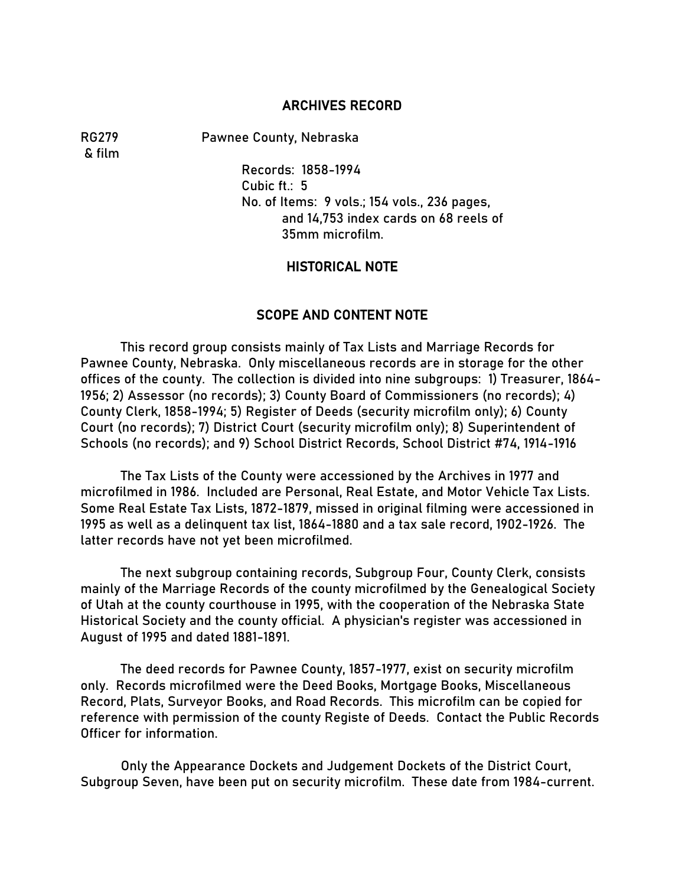#### ARCHIVES RECORD

& film

RG279 Pawnee County, Nebraska

Records: 1858-1994 Cubic ft.: 5 No. of Items: 9 vols.; 154 vols., 236 pages, and 14,753 index cards on 68 reels of 35mm microfilm.

### HISTORICAL NOTE

### SCOPE AND CONTENT NOTE

This record group consists mainly of Tax Lists and Marriage Records for Pawnee County, Nebraska. Only miscellaneous records are in storage for the other offices of the county. The collection is divided into nine subgroups: 1) Treasurer, 1864- 1956; 2) Assessor (no records); 3) County Board of Commissioners (no records); 4) County Clerk, 1858-1994; 5) Register of Deeds (security microfilm only); 6) County Court (no records); 7) District Court (security microfilm only); 8) Superintendent of Schools (no records); and 9) School District Records, School District #74, 1914-1916

The Tax Lists of the County were accessioned by the Archives in 1977 and microfilmed in 1986. Included are Personal, Real Estate, and Motor Vehicle Tax Lists. Some Real Estate Tax Lists, 1872-1879, missed in original filming were accessioned in 1995 as well as a delinquent tax list, 1864-1880 and a tax sale record, 1902-1926. The latter records have not yet been microfilmed.

The next subgroup containing records, Subgroup Four, County Clerk, consists mainly of the Marriage Records of the county microfilmed by the Genealogical Society of Utah at the county courthouse in 1995, with the cooperation of the Nebraska State Historical Society and the county official. A physician's register was accessioned in August of 1995 and dated 1881-1891.

The deed records for Pawnee County, 1857-1977, exist on security microfilm only. Records microfilmed were the Deed Books, Mortgage Books, Miscellaneous Record, Plats, Surveyor Books, and Road Records. This microfilm can be copied for reference with permission of the county Registe of Deeds. Contact the Public Records Officer for information.

Only the Appearance Dockets and Judgement Dockets of the District Court, Subgroup Seven, have been put on security microfilm. These date from 1984-current.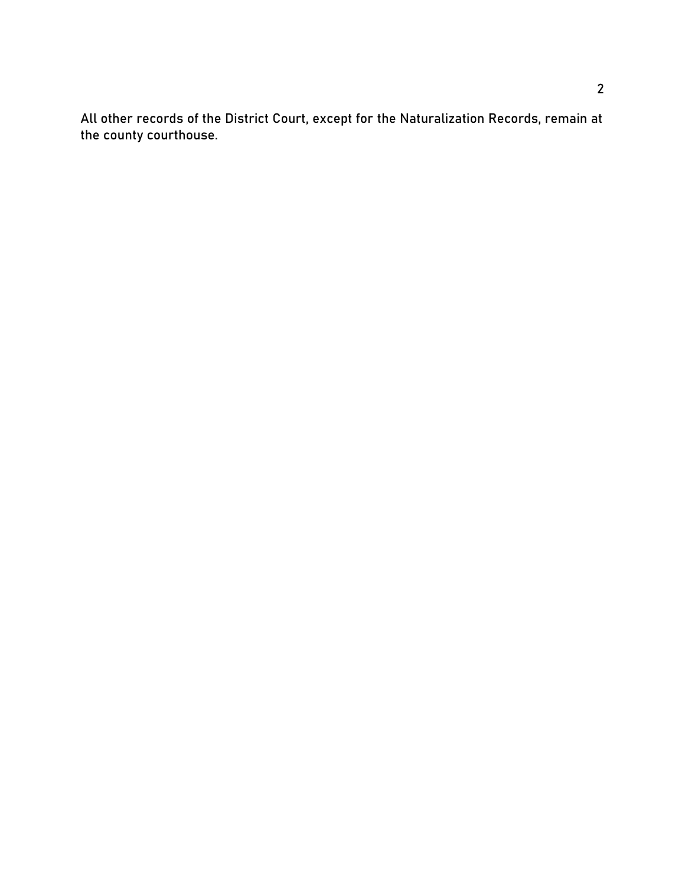All other records of the District Court, except for the Naturalization Records, remain at the county courthouse.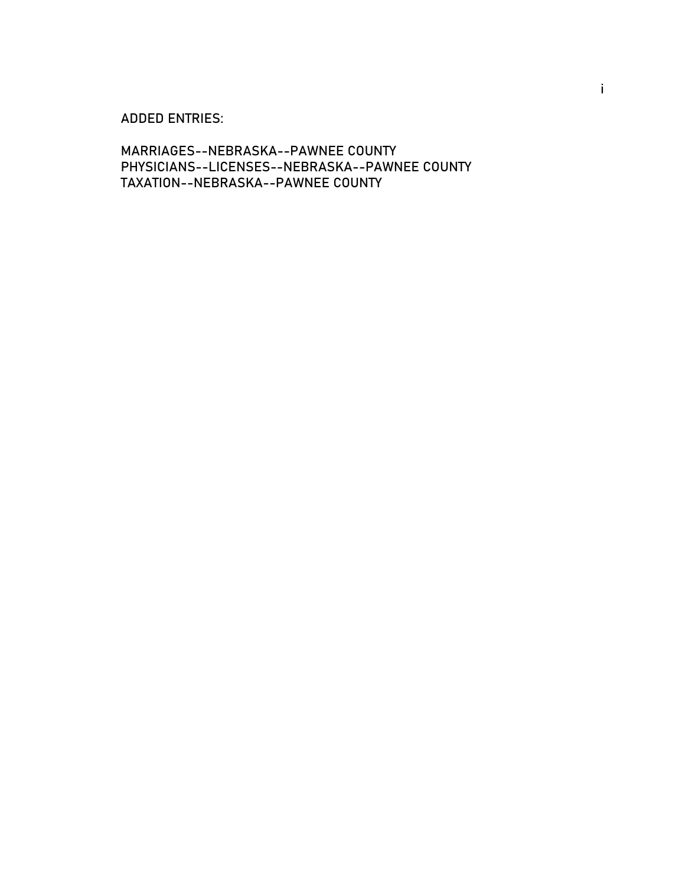### ADDED ENTRIES:

MARRIAGES--NEBRASKA--PAWNEE COUNTY PHYSICIANS--LICENSES--NEBRASKA--PAWNEE COUNTY TAXATION--NEBRASKA--PAWNEE COUNTY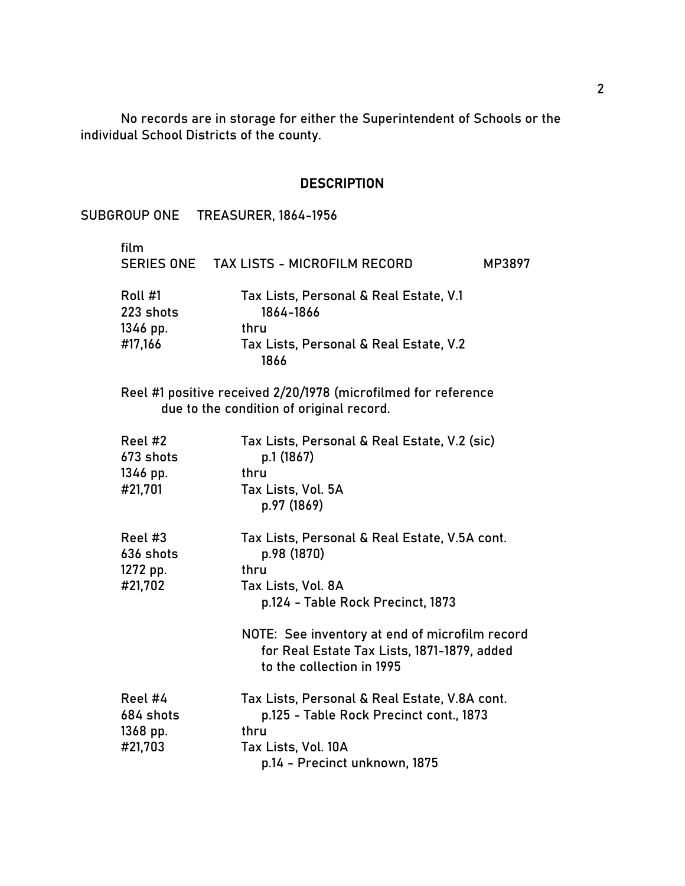No records are in storage for either the Superintendent of Schools or the individual School Districts of the county.

#### **DESCRIPTION**

SUBGROUP ONE TREASURER, 1864-1956 film SERIES ONE TAX LISTS - MICROFILM RECORD MP3897 Roll #1 Tax Lists, Personal & Real Estate, V.1 223 shots 1864-1866 1346 pp. thru #17,166 Tax Lists, Personal & Real Estate, V.2 1866 Reel #1 positive received 2/20/1978 (microfilmed for reference due to the condition of original record. Reel #2 Tax Lists, Personal & Real Estate, V.2 (sic) 673 shots p.1 (1867) 1346 pp. thru #21,701 Tax Lists, Vol. 5A p.97 (1869) Reel #3 Tax Lists, Personal & Real Estate, V.5A cont. 636 shots p.98 (1870) 1272 pp. thru #21,702 Tax Lists, Vol. 8A p.124 - Table Rock Precinct, 1873 NOTE: See inventory at end of microfilm record for Real Estate Tax Lists, 1871-1879, added to the collection in 1995 Reel #4 Tax Lists, Personal & Real Estate, V.8A cont. 684 shots p.125 - Table Rock Precinct cont., 1873 1368 pp. thru #21,703 Tax Lists, Vol. 10A p.14 - Precinct unknown, 1875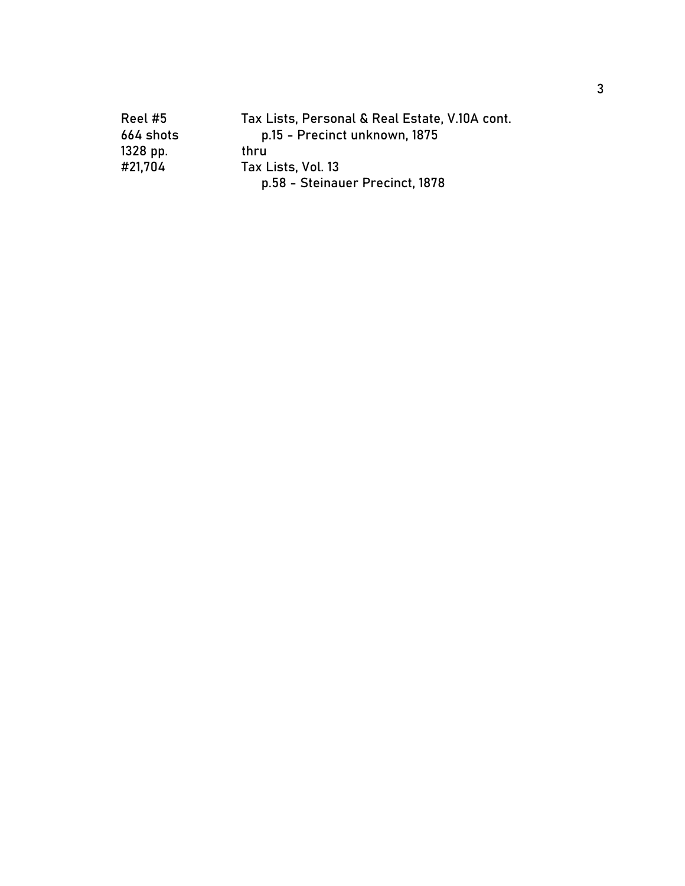| Reel #5    | Tax Lists, Personal & Real Estate, V.10A cont. |
|------------|------------------------------------------------|
| 664 shots  | p.15 - Precinct unknown, 1875                  |
| $1328$ pp. | thru                                           |
| #21,704    | Tax Lists, Vol. 13                             |
|            | p.58 - Steinauer Precinct, 1878                |
|            |                                                |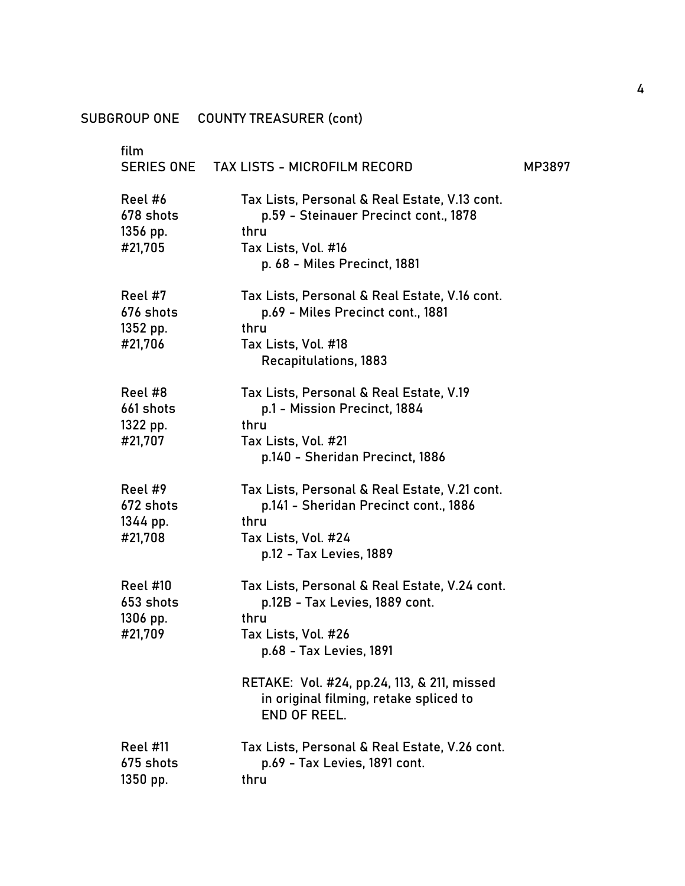| film<br><b>SERIES ONE</b>                           | <b>TAX LISTS - MICROFILM RECORD</b>                                                                                                                                                                                                                       | MP3897 |
|-----------------------------------------------------|-----------------------------------------------------------------------------------------------------------------------------------------------------------------------------------------------------------------------------------------------------------|--------|
| Reel #6<br>678 shots<br>1356 pp.<br>#21,705         | Tax Lists, Personal & Real Estate, V.13 cont.<br>p.59 - Steinauer Precinct cont., 1878<br>thru<br>Tax Lists, Vol. #16<br>p. 68 - Miles Precinct, 1881                                                                                                     |        |
| Reel #7<br>676 shots<br>1352 pp.<br>#21,706         | Tax Lists, Personal & Real Estate, V.16 cont.<br>p.69 - Miles Precinct cont., 1881<br>thru<br>Tax Lists, Vol. #18<br><b>Recapitulations, 1883</b>                                                                                                         |        |
| Reel #8<br>661 shots<br>1322 pp.<br>#21,707         | Tax Lists, Personal & Real Estate, V.19<br>p.1 - Mission Precinct, 1884<br>thru<br>Tax Lists, Vol. #21<br>p.140 - Sheridan Precinct, 1886                                                                                                                 |        |
| Reel #9<br>672 shots<br>1344 pp.<br>#21,708         | Tax Lists, Personal & Real Estate, V.21 cont.<br>p.141 - Sheridan Precinct cont., 1886<br>thru<br>Tax Lists, Vol. #24<br>p.12 - Tax Levies, 1889                                                                                                          |        |
| <b>Reel #10</b><br>653 shots<br>1306 pp.<br>#21,709 | Tax Lists, Personal & Real Estate, V.24 cont.<br>p.12B - Tax Levies, 1889 cont.<br>thru<br>Tax Lists, Vol. #26<br>p.68 - Tax Levies, 1891<br>RETAKE: Vol. #24, pp.24, 113, & 211, missed<br>in original filming, retake spliced to<br><b>END OF REEL.</b> |        |
| <b>Reel #11</b><br>675 shots<br>1350 pp.            | Tax Lists, Personal & Real Estate, V.26 cont.<br>p.69 - Tax Levies, 1891 cont.<br>thru                                                                                                                                                                    |        |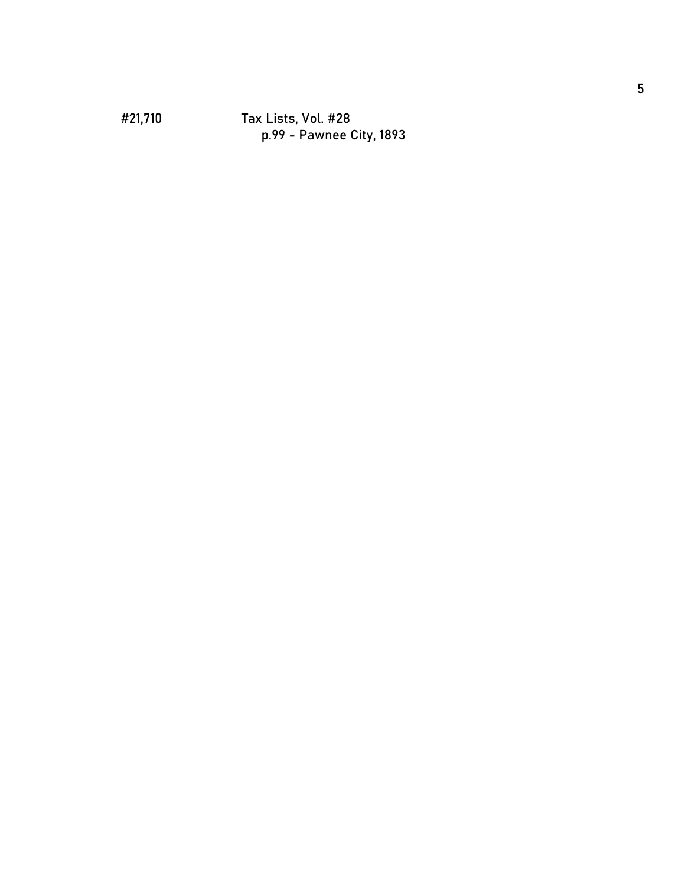#### #21,710 Tax Lists, Vol. #28 p.99 - Pawnee City, 1893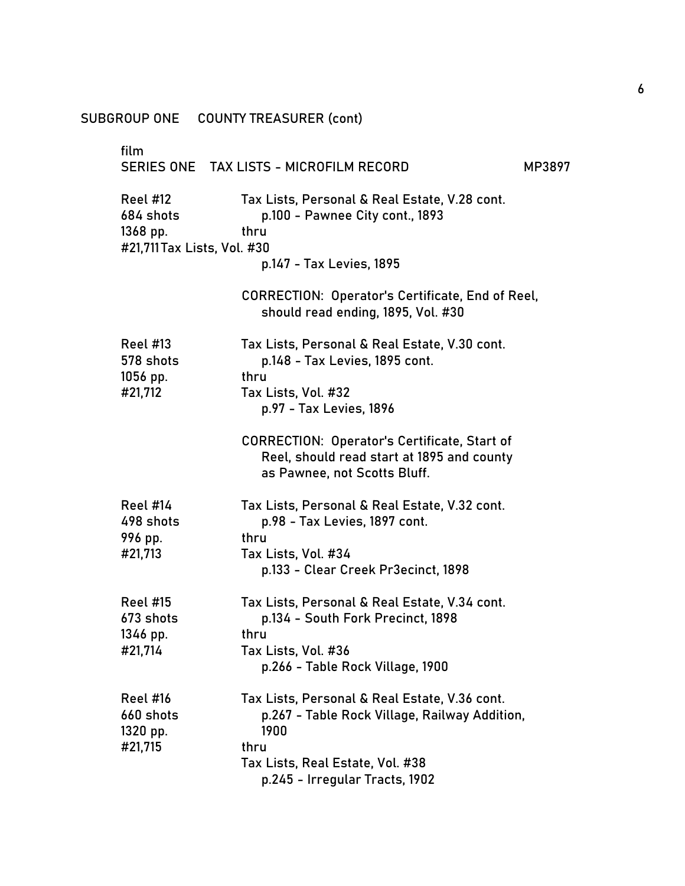| SUBGROUP ONE                                                            | <b>COUNTY TREASURER (cont)</b>                                                                                                    |        |
|-------------------------------------------------------------------------|-----------------------------------------------------------------------------------------------------------------------------------|--------|
| film                                                                    | SERIES ONE TAX LISTS - MICROFILM RECORD                                                                                           | MP3897 |
| <b>Reel #12</b><br>684 shots<br>1368 pp.<br>#21,711 Tax Lists, Vol. #30 | Tax Lists, Personal & Real Estate, V.28 cont.<br>p.100 - Pawnee City cont., 1893<br>thru                                          |        |
|                                                                         | p.147 - Tax Levies, 1895                                                                                                          |        |
|                                                                         | <b>CORRECTION: Operator's Certificate, End of Reel,</b><br>should read ending, 1895, Vol. #30                                     |        |
| <b>Reel #13</b><br>578 shots<br>$1056$ pp.                              | Tax Lists, Personal & Real Estate, V.30 cont.<br>p.148 - Tax Levies, 1895 cont.<br>thru                                           |        |
| #21,712                                                                 | Tax Lists, Vol. #32<br>p.97 - Tax Levies, 1896                                                                                    |        |
|                                                                         | <b>CORRECTION: Operator's Certificate, Start of</b><br>Reel, should read start at 1895 and county<br>as Pawnee, not Scotts Bluff. |        |
| Reel #14<br>498 shots<br>996 pp.                                        | Tax Lists, Personal & Real Estate, V.32 cont.<br>p.98 - Tax Levies, 1897 cont.<br>thru                                            |        |
| #21,713                                                                 | Tax Lists, Vol. #34<br>p.133 - Clear Creek Pr3ecinct, 1898                                                                        |        |
| <b>Reel #15</b><br>673 shots<br>1346 pp.                                | Tax Lists, Personal & Real Estate, V.34 cont.<br>p.134 - South Fork Precinct, 1898<br>thru                                        |        |
| #21,714                                                                 | Tax Lists, Vol. #36<br>p.266 - Table Rock Village, 1900                                                                           |        |
| <b>Reel #16</b><br>660 shots<br>$1320$ pp.<br>#21,715                   | Tax Lists, Personal & Real Estate, V.36 cont.<br>p.267 - Table Rock Village, Railway Addition,<br>1900<br>thru                    |        |
|                                                                         | Tax Lists, Real Estate, Vol. #38                                                                                                  |        |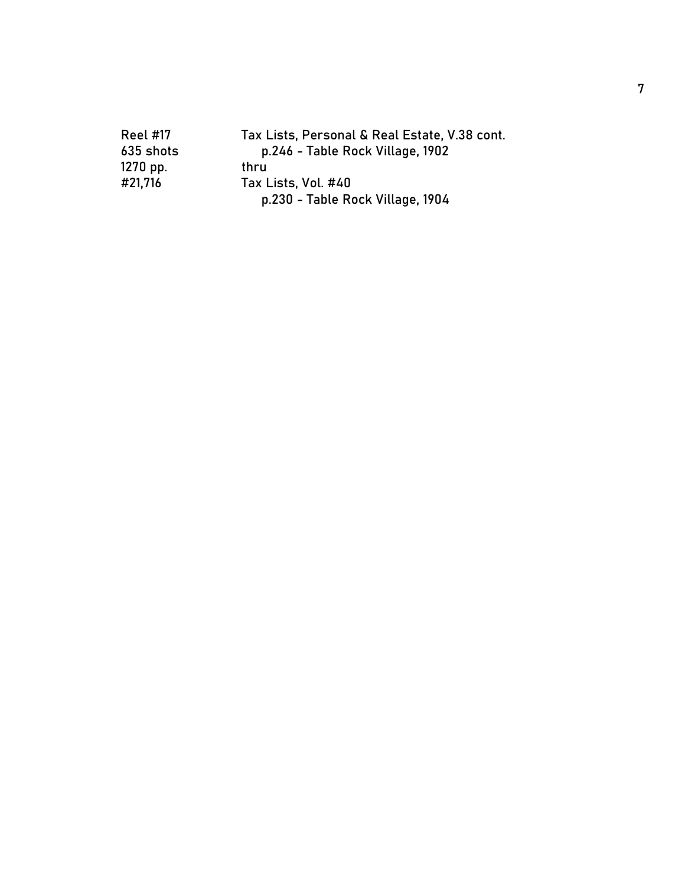| <b>Reel #17</b> | Tax Lists, Personal & Real Estate, V.38 cont. |
|-----------------|-----------------------------------------------|
| 635 shots       | p.246 - Table Rock Village, 1902              |
| $1270$ pp.      | thru                                          |
| #21,716         | Tax Lists, Vol. #40                           |
|                 | p.230 - Table Rock Village, 1904              |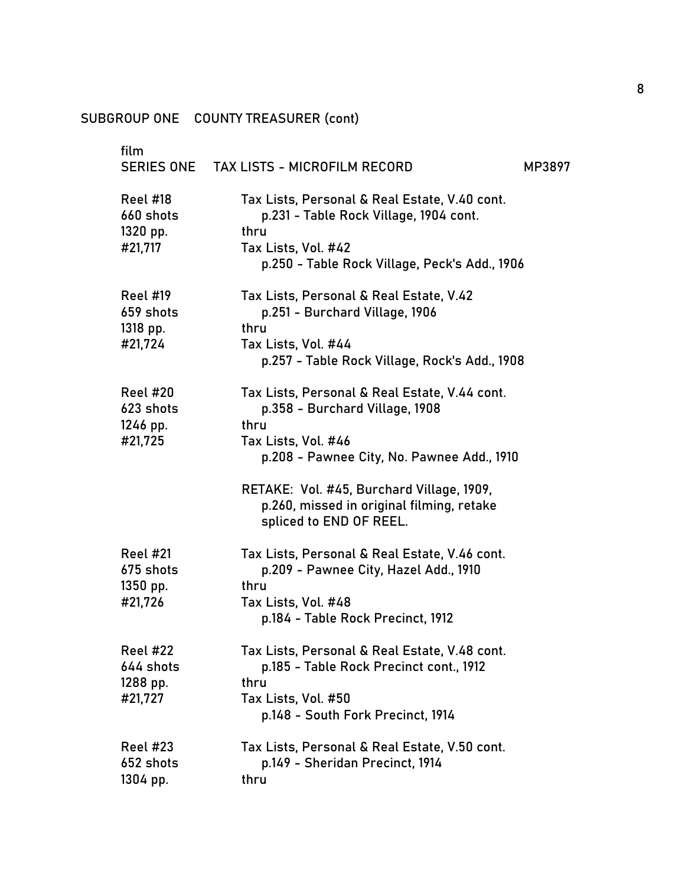| film<br><b>SERIES ONE</b>                                              | <b>TAX LISTS - MICROFILM RECORD</b><br>MP3897                                                                                                                                                                                                                                     |  |
|------------------------------------------------------------------------|-----------------------------------------------------------------------------------------------------------------------------------------------------------------------------------------------------------------------------------------------------------------------------------|--|
| <b>Reel #18</b><br>660 shots<br>1320 pp.<br>#21,717                    | Tax Lists, Personal & Real Estate, V.40 cont.<br>p.231 - Table Rock Village, 1904 cont.<br>thru<br>Tax Lists, Vol. #42<br>p.250 - Table Rock Village, Peck's Add., 1906                                                                                                           |  |
| Reel #19<br>659 shots<br>1318 pp.<br>#21,724                           | Tax Lists, Personal & Real Estate, V.42<br>p.251 - Burchard Village, 1906<br>thru<br>Tax Lists, Vol. #44<br>p.257 - Table Rock Village, Rock's Add., 1908                                                                                                                         |  |
| <b>Reel #20</b><br>623 shots<br>1246 pp.<br>#21,725                    | Tax Lists, Personal & Real Estate, V.44 cont.<br>p.358 - Burchard Village, 1908<br>thru<br>Tax Lists, Vol. #46<br>p.208 - Pawnee City, No. Pawnee Add., 1910<br>RETAKE: Vol. #45, Burchard Village, 1909,<br>p.260, missed in original filming, retake<br>spliced to END OF REEL. |  |
| <b>Reel #21</b><br>675 shots<br>1350 pp.<br>#21,726<br><b>Reel #22</b> | Tax Lists, Personal & Real Estate, V.46 cont.<br>p.209 - Pawnee City, Hazel Add., 1910<br>thru<br>Tax Lists, Vol. #48<br>p.184 - Table Rock Precinct, 1912<br>Tax Lists, Personal & Real Estate, V.48 cont.                                                                       |  |
| 644 shots<br>1288 pp.<br>#21,727                                       | p.185 - Table Rock Precinct cont., 1912<br>thru<br>Tax Lists, Vol. #50<br>p.148 - South Fork Precinct, 1914                                                                                                                                                                       |  |
| <b>Reel #23</b><br>652 shots<br>1304 pp.                               | Tax Lists, Personal & Real Estate, V.50 cont.<br>p.149 - Sheridan Precinct, 1914<br>thru                                                                                                                                                                                          |  |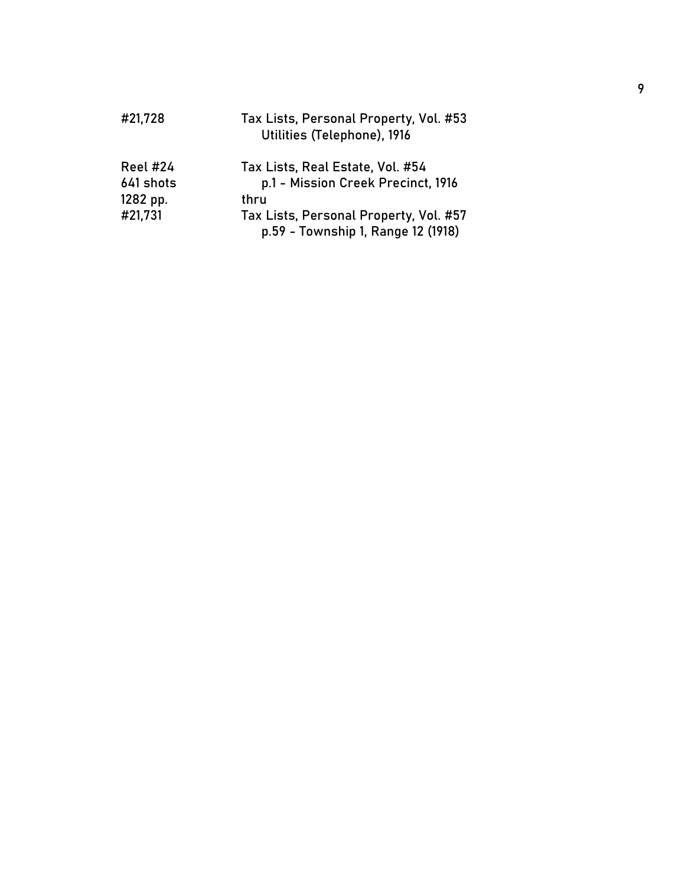| #21,728         | Tax Lists, Personal Property, Vol. #53<br>Utilities (Telephone), 1916        |
|-----------------|------------------------------------------------------------------------------|
| <b>Reel #24</b> | Tax Lists, Real Estate, Vol. #54                                             |
| 641 shots       | p.1 - Mission Creek Precinct, 1916                                           |
| 1282 pp.        | thru                                                                         |
| #21,731         | Tax Lists, Personal Property, Vol. #57<br>p.59 - Township 1, Range 12 (1918) |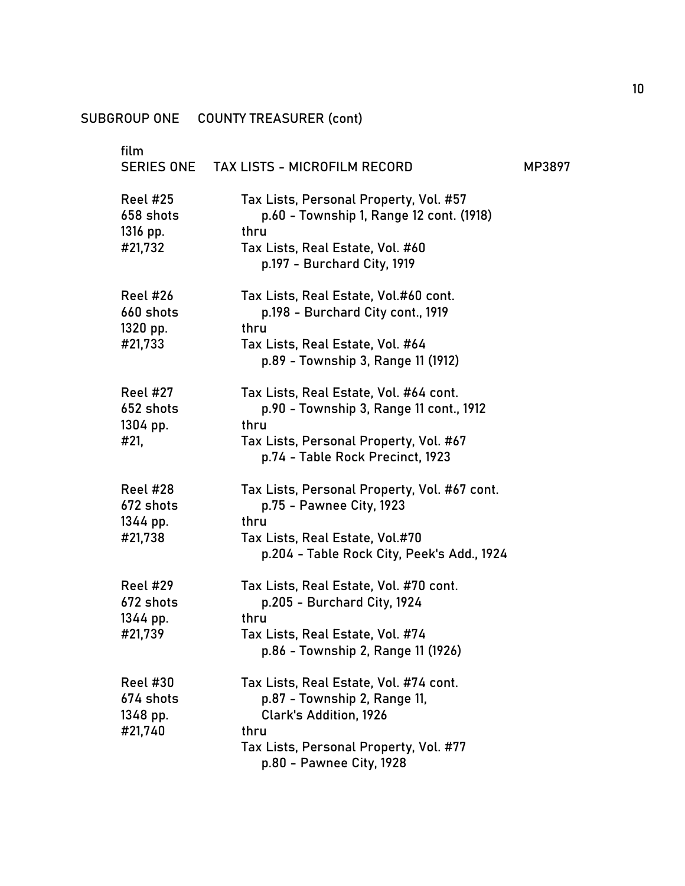| film<br><b>SERIES ONE</b>                           | TAX LISTS - MICROFILM RECORD                                                                                                                                                          | MP3897 |
|-----------------------------------------------------|---------------------------------------------------------------------------------------------------------------------------------------------------------------------------------------|--------|
| <b>Reel #25</b><br>658 shots<br>1316 pp.<br>#21,732 | Tax Lists, Personal Property, Vol. #57<br>p.60 - Township 1, Range 12 cont. (1918)<br>thru<br>Tax Lists, Real Estate, Vol. #60<br>p.197 - Burchard City, 1919                         |        |
| <b>Reel #26</b><br>660 shots<br>1320 pp.<br>#21,733 | Tax Lists, Real Estate, Vol.#60 cont.<br>p.198 - Burchard City cont., 1919<br>thru<br>Tax Lists, Real Estate, Vol. #64<br>p.89 - Township 3, Range 11 (1912)                          |        |
| <b>Reel #27</b><br>652 shots<br>1304 pp.<br>#21,    | Tax Lists, Real Estate, Vol. #64 cont.<br>p.90 - Township 3, Range 11 cont., 1912<br>thru<br>Tax Lists, Personal Property, Vol. #67<br>p.74 - Table Rock Precinct, 1923               |        |
| <b>Reel #28</b><br>672 shots<br>1344 pp.<br>#21,738 | Tax Lists, Personal Property, Vol. #67 cont.<br>p.75 - Pawnee City, 1923<br>thru<br>Tax Lists, Real Estate, Vol.#70<br>p.204 - Table Rock City, Peek's Add., 1924                     |        |
| <b>Reel #29</b><br>672 shots<br>1344 pp.<br>#21,739 | Tax Lists, Real Estate, Vol. #70 cont.<br>p.205 - Burchard City, 1924<br>thru<br>Tax Lists, Real Estate, Vol. #74<br>p.86 - Township 2, Range 11 (1926)                               |        |
| <b>Reel #30</b><br>674 shots<br>1348 pp.<br>#21,740 | Tax Lists, Real Estate, Vol. #74 cont.<br>p.87 - Township 2, Range 11,<br><b>Clark's Addition, 1926</b><br>thru<br>Tax Lists, Personal Property, Vol. #77<br>p.80 - Pawnee City, 1928 |        |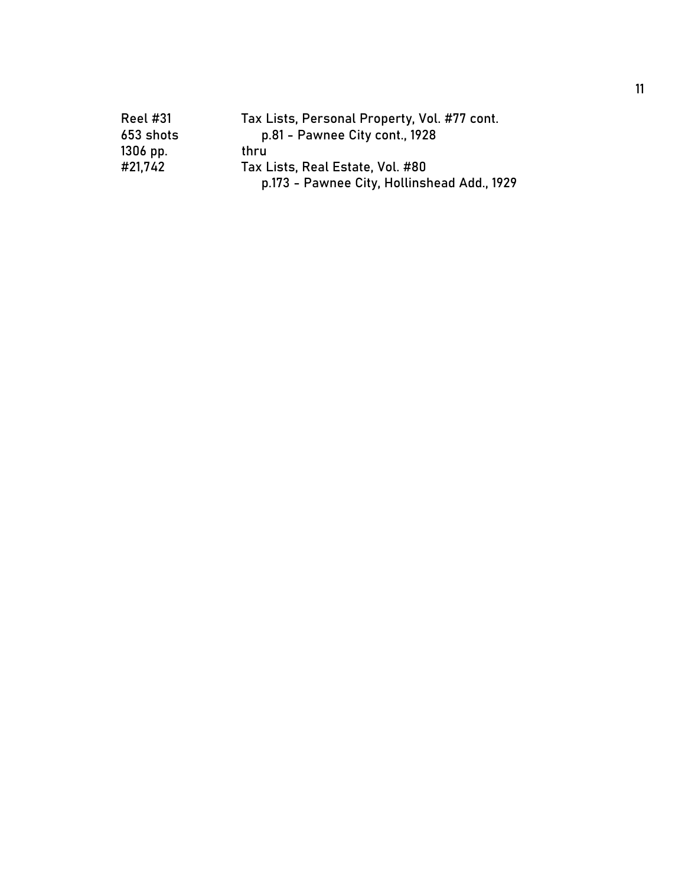| <b>Reel #31</b> | Tax Lists, Personal Property, Vol. #77 cont. |
|-----------------|----------------------------------------------|
| 653 shots       | p.81 - Pawnee City cont., 1928               |
| $1306$ pp.      | thru                                         |
| #21,742         | Tax Lists, Real Estate, Vol. #80             |
|                 | p.173 - Pawnee City, Hollinshead Add., 1929  |
|                 |                                              |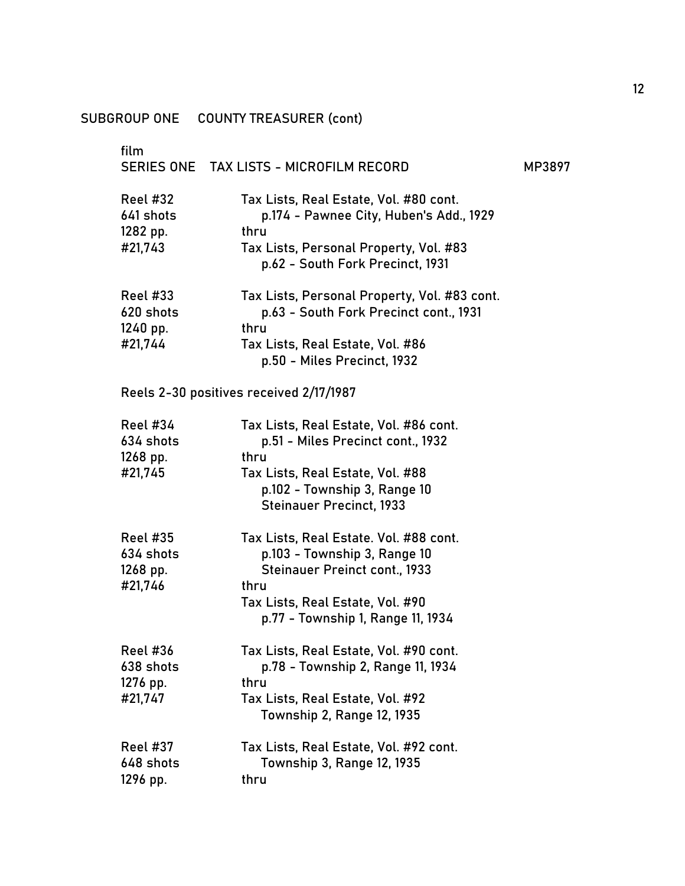| film                                                | SERIES ONE TAX LISTS - MICROFILM RECORD                                                                                                                                                         | MP3897 |
|-----------------------------------------------------|-------------------------------------------------------------------------------------------------------------------------------------------------------------------------------------------------|--------|
| <b>Reel #32</b><br>641 shots<br>1282 pp.<br>#21,743 | Tax Lists, Real Estate, Vol. #80 cont.<br>p.174 - Pawnee City, Huben's Add., 1929<br>thru<br>Tax Lists, Personal Property, Vol. #83<br>p.62 - South Fork Precinct, 1931                         |        |
| <b>Reel #33</b><br>620 shots<br>1240 pp.<br>#21,744 | Tax Lists, Personal Property, Vol. #83 cont.<br>p.63 - South Fork Precinct cont., 1931<br>thru<br>Tax Lists, Real Estate, Vol. #86<br>p.50 - Miles Precinct, 1932                               |        |
|                                                     | Reels 2-30 positives received 2/17/1987                                                                                                                                                         |        |
| <b>Reel #34</b><br>634 shots<br>1268 pp.<br>#21,745 | Tax Lists, Real Estate, Vol. #86 cont.<br>p.51 - Miles Precinct cont., 1932<br>thru<br>Tax Lists, Real Estate, Vol. #88<br>p.102 - Township 3, Range 10<br><b>Steinauer Precinct, 1933</b>      |        |
| <b>Reel #35</b><br>634 shots<br>1268 pp.<br>#21,746 | Tax Lists, Real Estate. Vol. #88 cont.<br>p.103 - Township 3, Range 10<br><b>Steinauer Preinct cont., 1933</b><br>thru<br>Tax Lists, Real Estate, Vol. #90<br>p.77 - Township 1, Range 11, 1934 |        |
| <b>Reel #36</b><br>638 shots<br>1276 pp.<br>#21,747 | Tax Lists, Real Estate, Vol. #90 cont.<br>p.78 - Township 2, Range 11, 1934<br>thru<br>Tax Lists, Real Estate, Vol. #92<br>Township 2, Range 12, 1935                                           |        |
| <b>Reel #37</b><br>648 shots<br>1296 pp.            | Tax Lists, Real Estate, Vol. #92 cont.<br><b>Township 3, Range 12, 1935</b><br>thru                                                                                                             |        |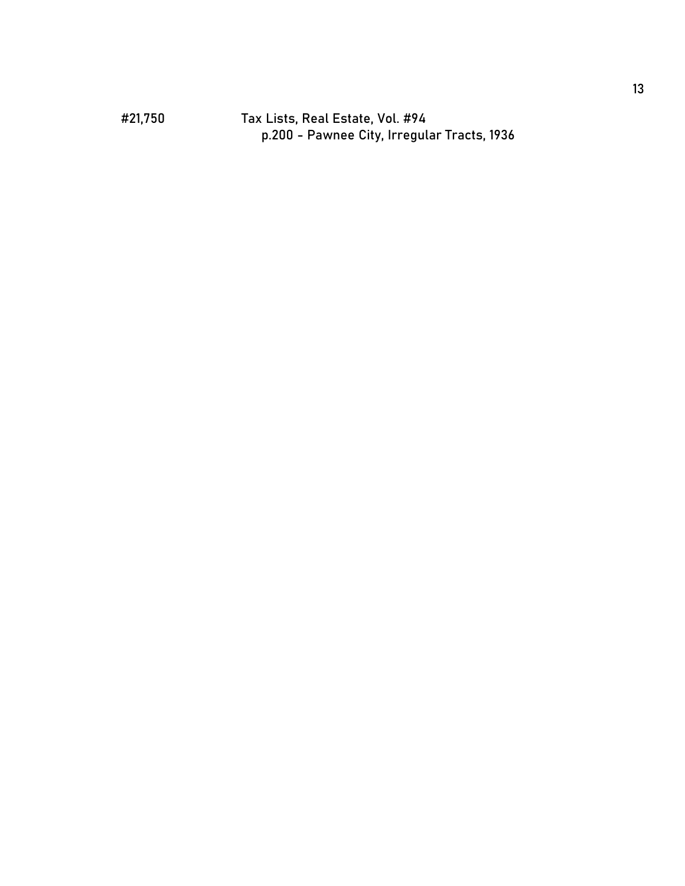#21,750 Tax Lists, Real Estate, Vol. #94 p.200 - Pawnee City, Irregular Tracts, 1936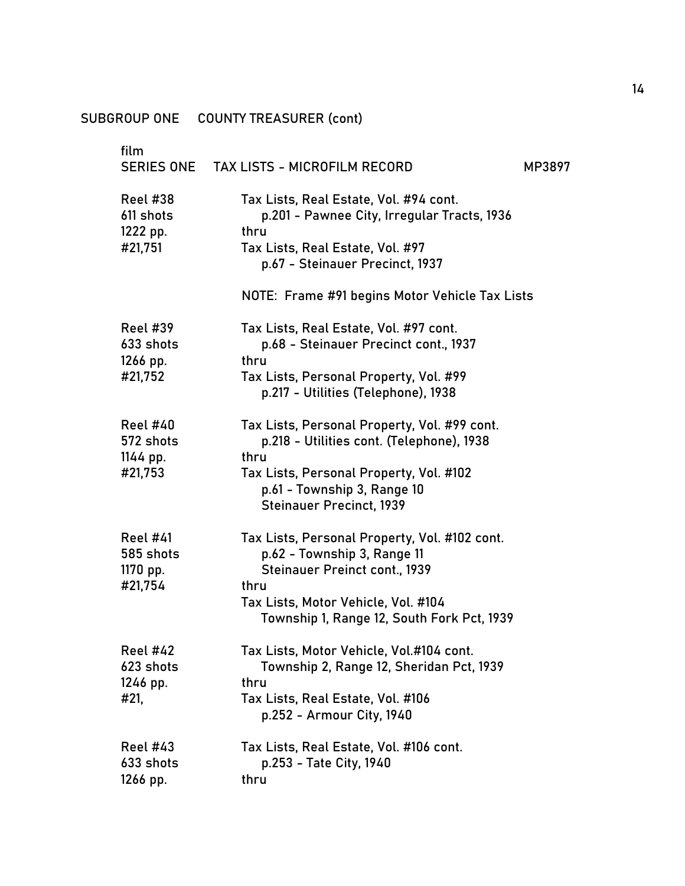| film                                     | <b>TAX LISTS - MICROFILM RECORD</b>                                                                                  |
|------------------------------------------|----------------------------------------------------------------------------------------------------------------------|
| SERIES ONE                               | MP3897                                                                                                               |
| <b>Reel #38</b><br>611 shots<br>1222 pp. | Tax Lists, Real Estate, Vol. #94 cont.<br>p.201 - Pawnee City, Irregular Tracts, 1936<br>thru                        |
| #21,751                                  | Tax Lists, Real Estate, Vol. #97<br>p.67 - Steinauer Precinct, 1937                                                  |
|                                          | NOTE: Frame #91 begins Motor Vehicle Tax Lists                                                                       |
| <b>Reel #39</b><br>633 shots<br>1266 pp. | Tax Lists, Real Estate, Vol. #97 cont.<br>p.68 - Steinauer Precinct cont., 1937<br>thru                              |
| #21,752                                  | Tax Lists, Personal Property, Vol. #99<br>p.217 - Utilities (Telephone), 1938                                        |
| <b>Reel #40</b><br>572 shots<br>1144 pp. | Tax Lists, Personal Property, Vol. #99 cont.<br>p.218 - Utilities cont. (Telephone), 1938<br>thru                    |
| #21,753                                  | Tax Lists, Personal Property, Vol. #102<br>p.61 - Township 3, Range 10<br><b>Steinauer Precinct, 1939</b>            |
| <b>Reel #41</b><br>585 shots<br>1170 pp. | Tax Lists, Personal Property, Vol. #102 cont.<br>p.62 - Township 3, Range 11<br><b>Steinauer Preinct cont., 1939</b> |
| #21,754                                  | thru<br>Tax Lists, Motor Vehicle, Vol. #104<br>Township 1, Range 12, South Fork Pct, 1939                            |
| <b>Reel #42</b><br>623 shots<br>1246 pp. | Tax Lists, Motor Vehicle, Vol.#104 cont.<br>Township 2, Range 12, Sheridan Pct, 1939<br>thru                         |
| #21.                                     | Tax Lists, Real Estate, Vol. #106<br>p.252 - Armour City, 1940                                                       |
| <b>Reel #43</b><br>633 shots             | Tax Lists, Real Estate, Vol. #106 cont.<br>p.253 - Tate City, 1940<br>thru                                           |
| 1266 pp.                                 |                                                                                                                      |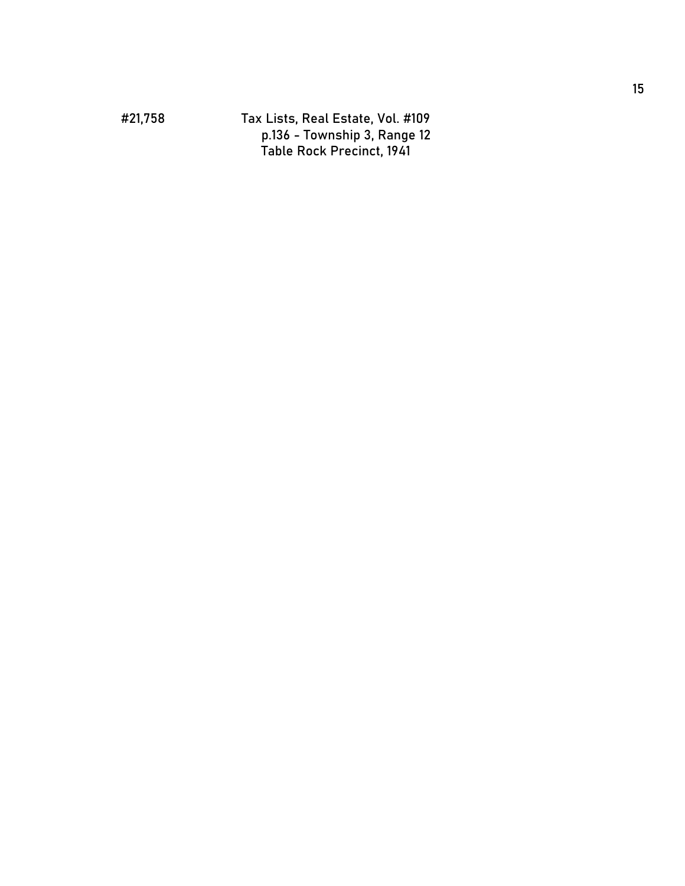#21,758 Tax Lists, Real Estate, Vol. #109 p.136 - Township 3, Range 12 Table Rock Precinct, 1941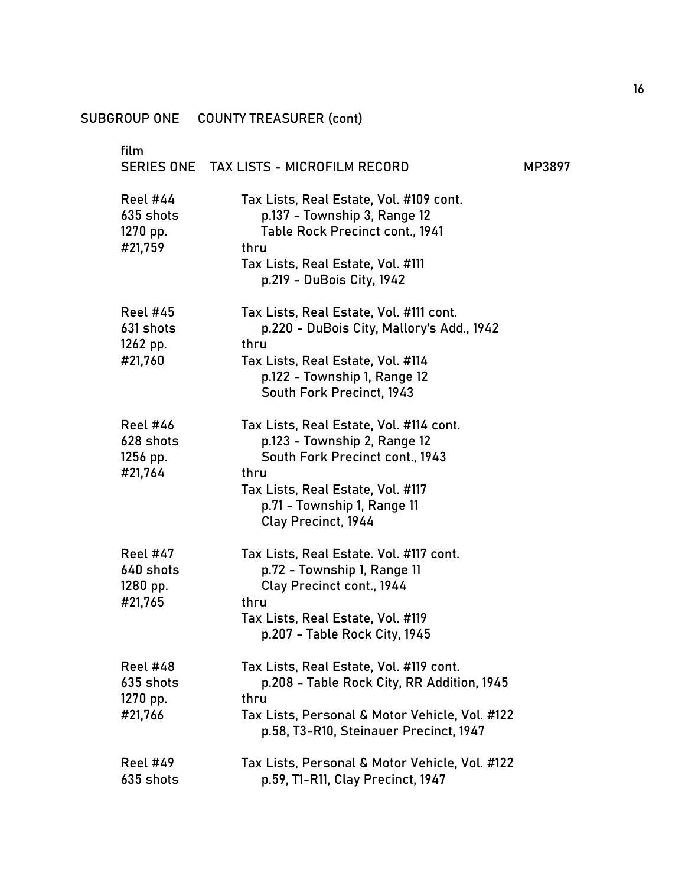| film                                                | SERIES ONE TAX LISTS - MICROFILM RECORD                                                                                                                                                                       | MP3897 |
|-----------------------------------------------------|---------------------------------------------------------------------------------------------------------------------------------------------------------------------------------------------------------------|--------|
| Reel #44<br>635 shots<br>1270 pp.<br>#21,759        | Tax Lists, Real Estate, Vol. #109 cont.<br>p.137 - Township 3, Range 12<br>Table Rock Precinct cont., 1941<br>thru<br>Tax Lists, Real Estate, Vol. #111<br>p.219 - DuBois City, 1942                          |        |
| <b>Reel #45</b><br>631 shots<br>1262 pp.<br>#21,760 | Tax Lists, Real Estate, Vol. #111 cont.<br>p.220 - DuBois City, Mallory's Add., 1942<br>thru<br>Tax Lists, Real Estate, Vol. #114<br>p.122 - Township 1, Range 12<br>South Fork Precinct, 1943                |        |
| <b>Reel #46</b><br>628 shots<br>1256 pp.<br>#21,764 | Tax Lists, Real Estate, Vol. #114 cont.<br>p.123 - Township 2, Range 12<br>South Fork Precinct cont., 1943<br>thru<br>Tax Lists, Real Estate, Vol. #117<br>p.71 - Township 1, Range 11<br>Clay Precinct, 1944 |        |
| <b>Reel #47</b><br>640 shots<br>1280 pp.<br>#21,765 | Tax Lists, Real Estate. Vol. #117 cont.<br>p.72 - Township 1, Range 11<br>Clay Precinct cont., 1944<br>thru<br>Tax Lists, Real Estate, Vol. #119<br>p.207 - Table Rock City, 1945                             |        |
| <b>Reel #48</b><br>635 shots<br>1270 pp.<br>#21,766 | Tax Lists, Real Estate, Vol. #119 cont.<br>p.208 - Table Rock City, RR Addition, 1945<br>thru<br>Tax Lists, Personal & Motor Vehicle, Vol. #122<br>p.58, T3-R10, Steinauer Precinct, 1947                     |        |
| <b>Reel #49</b><br>635 shots                        | Tax Lists, Personal & Motor Vehicle, Vol. #122<br>p.59, T1-R11, Clay Precinct, 1947                                                                                                                           |        |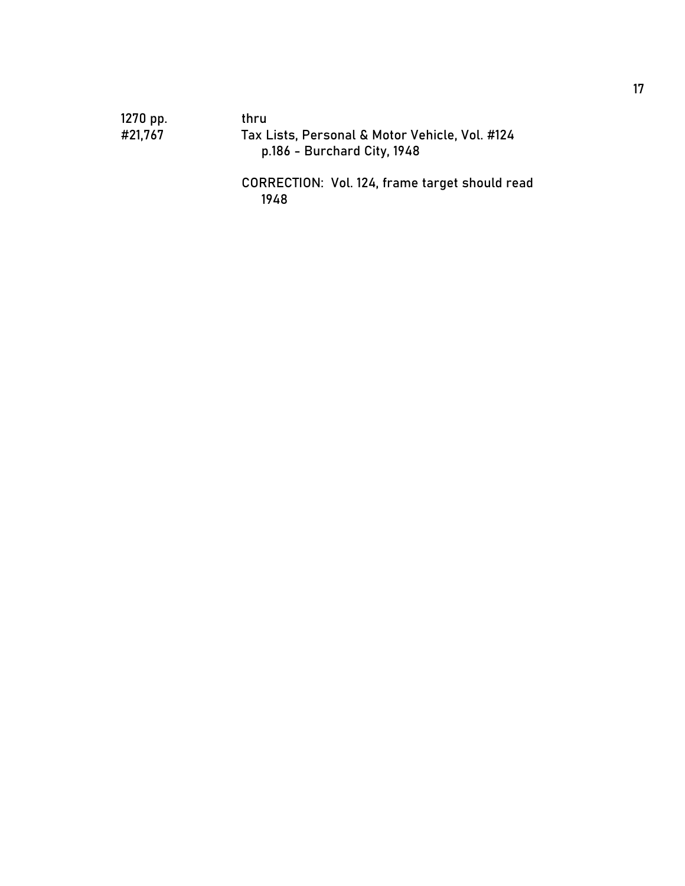1270 pp. thru

Tax Lists, Personal & Motor Vehicle, Vol. #124 p.186 - Burchard City, 1948

CORRECTION: Vol. 124, frame target should read 1948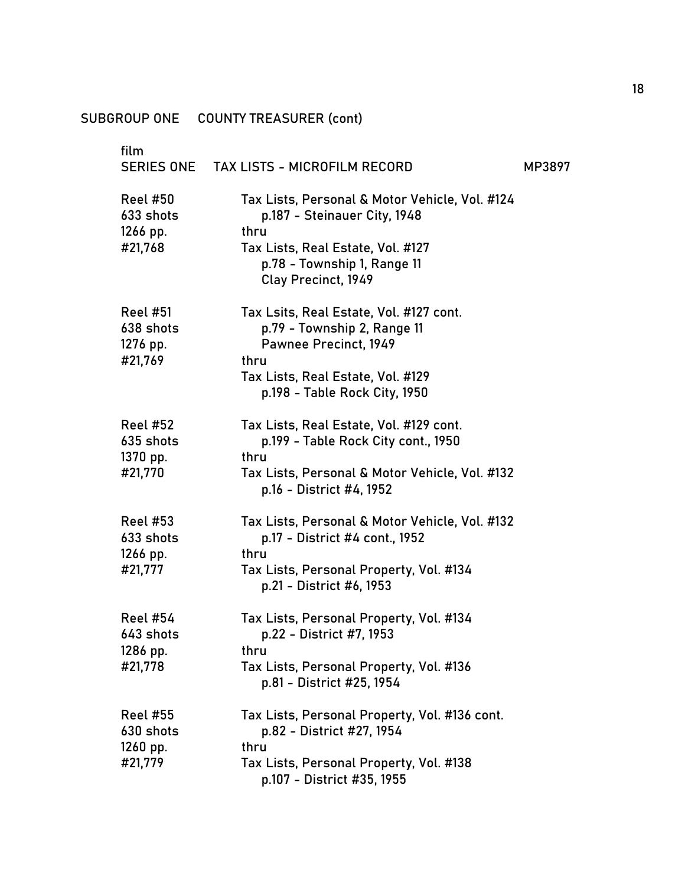| film<br><b>SERIES ONE</b>                           | <b>TAX LISTS - MICROFILM RECORD</b>                                                                     | MP3897 |
|-----------------------------------------------------|---------------------------------------------------------------------------------------------------------|--------|
|                                                     |                                                                                                         |        |
| <b>Reel #50</b><br>633 shots                        | Tax Lists, Personal & Motor Vehicle, Vol. #124<br>p.187 - Steinauer City, 1948                          |        |
| 1266 pp.<br>#21,768                                 | thru<br>Tax Lists, Real Estate, Vol. #127<br>p.78 - Township 1, Range 11<br>Clay Precinct, 1949         |        |
| <b>Reel #51</b><br>638 shots<br>1276 pp.<br>#21,769 | Tax Lsits, Real Estate, Vol. #127 cont.<br>p.79 - Township 2, Range 11<br>Pawnee Precinct, 1949<br>thru |        |
|                                                     | Tax Lists, Real Estate, Vol. #129<br>p.198 - Table Rock City, 1950                                      |        |
| <b>Reel #52</b><br>635 shots<br>1370 pp.            | Tax Lists, Real Estate, Vol. #129 cont.<br>p.199 - Table Rock City cont., 1950<br>thru                  |        |
| #21,770                                             | Tax Lists, Personal & Motor Vehicle, Vol. #132<br>p.16 - District #4, 1952                              |        |
| <b>Reel #53</b><br>633 shots<br>1266 pp.            | Tax Lists, Personal & Motor Vehicle, Vol. #132<br>p.17 - District #4 cont., 1952<br>thru                |        |
| #21,777                                             | Tax Lists, Personal Property, Vol. #134<br>p.21 - District #6, 1953                                     |        |
| <b>Reel #54</b><br>643 shots                        | Tax Lists, Personal Property, Vol. #134<br>p.22 - District #7, 1953                                     |        |
| 1286 pp.<br>#21,778                                 | thru<br>Tax Lists, Personal Property, Vol. #136<br>p.81 - District #25, 1954                            |        |
| <b>Reel #55</b><br>630 shots                        | Tax Lists, Personal Property, Vol. #136 cont.<br>p.82 - District #27, 1954<br>thru                      |        |
| $1260$ pp.<br>#21,779                               | Tax Lists, Personal Property, Vol. #138<br>p.107 - District #35, 1955                                   |        |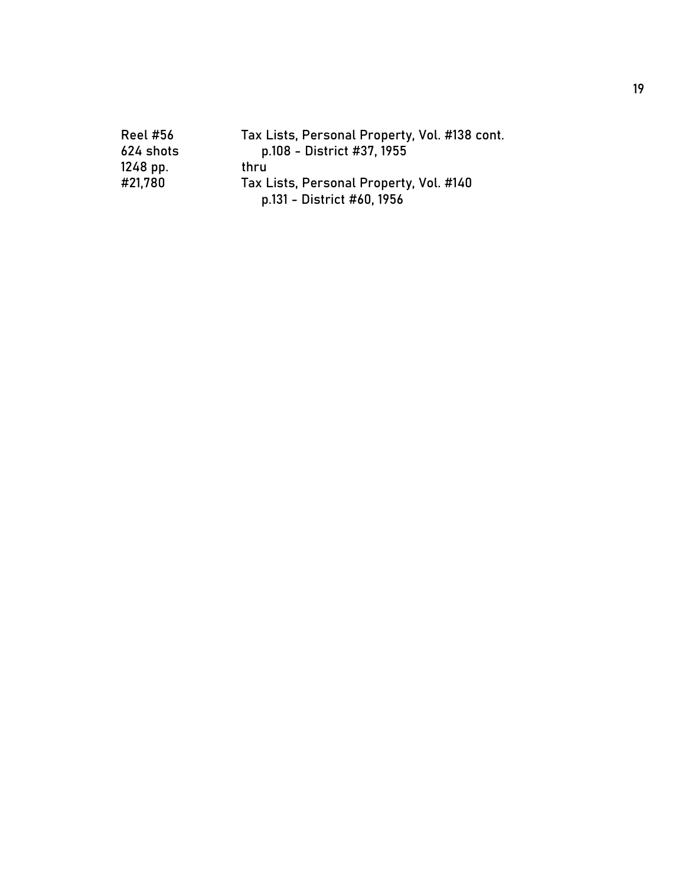| <b>Reel #56</b> | Tax Lists, Personal Property, Vol. #138 cont. |
|-----------------|-----------------------------------------------|
| 624 shots       | p.108 - District #37, 1955                    |
| 1248 pp.        | thru                                          |
| #21,780         | Tax Lists, Personal Property, Vol. #140       |
|                 | p.131 - District #60, 1956                    |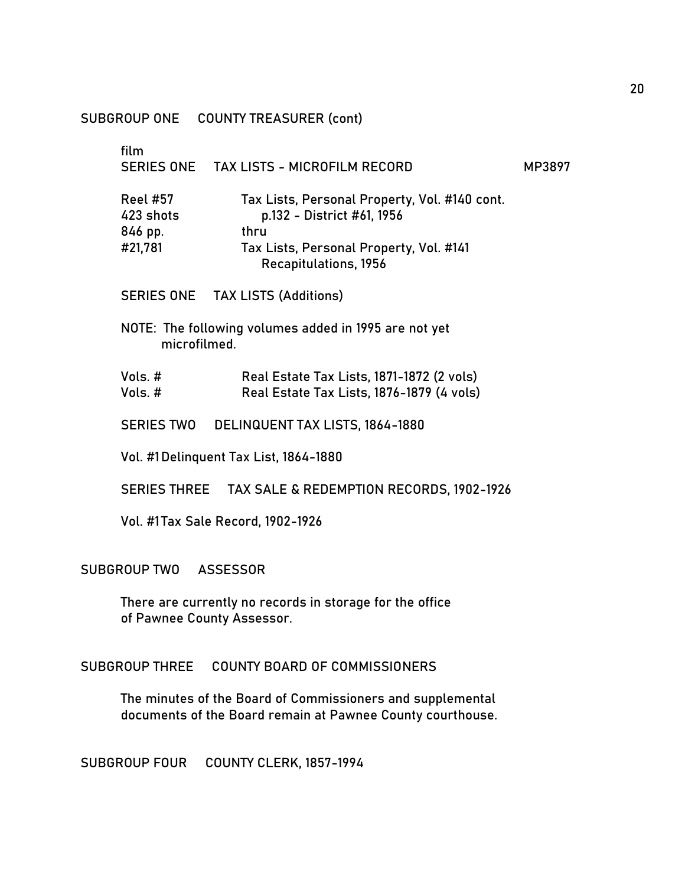| film                                               | SERIES ONE TAX LISTS - MICROFILM RECORD                                                                                                                 | MP3897 |
|----------------------------------------------------|---------------------------------------------------------------------------------------------------------------------------------------------------------|--------|
| <b>Reel #57</b><br>423 shots<br>846 pp.<br>#21,781 | Tax Lists, Personal Property, Vol. #140 cont.<br>p.132 - District #61, 1956<br>thru<br>Tax Lists, Personal Property, Vol. #141<br>Recapitulations, 1956 |        |
|                                                    | SERIES ONE TAX LISTS (Additions)                                                                                                                        |        |
| microfilmed.                                       | NOTE: The following volumes added in 1995 are not yet                                                                                                   |        |
| Vols. #<br>Vols. $#$                               | Real Estate Tax Lists, 1871-1872 (2 vols)<br>Real Estate Tax Lists, 1876-1879 (4 vols)                                                                  |        |
|                                                    | SERIES TWO DELINQUENT TAX LISTS, 1864-1880                                                                                                              |        |
|                                                    | Vol. #1 Delinquent Tax List, 1864-1880                                                                                                                  |        |
|                                                    | SERIES THREE TAX SALE & REDEMPTION RECORDS, 1902-1926                                                                                                   |        |
|                                                    | Vol. #1Tax Sale Record, 1902-1926                                                                                                                       |        |
| SUBGROUP TWO ASSESSOR                              |                                                                                                                                                         |        |
|                                                    | There are currently no records in storage for the office                                                                                                |        |

of Pawnee County Assessor.

SUBGROUP THREE COUNTY BOARD OF COMMISSIONERS

The minutes of the Board of Commissioners and supplemental documents of the Board remain at Pawnee County courthouse.

SUBGROUP FOUR COUNTY CLERK, 1857-1994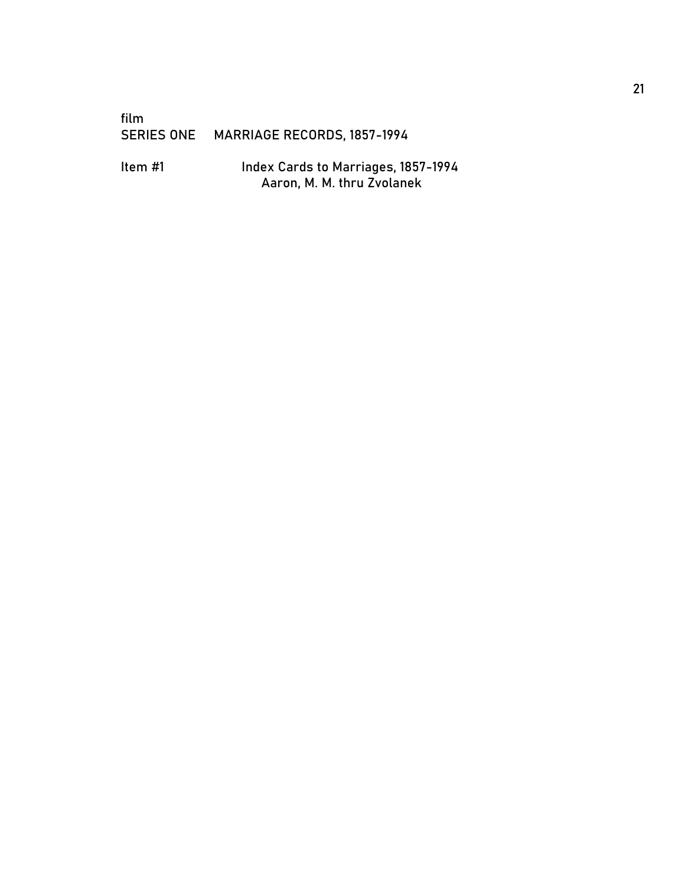### film<br>SERIES ONE MARRIAGE RECORDS, 1857-1994

Item #1 Index Cards to Marriages, 1857-1994 Aaron, M. M. thru Zvolanek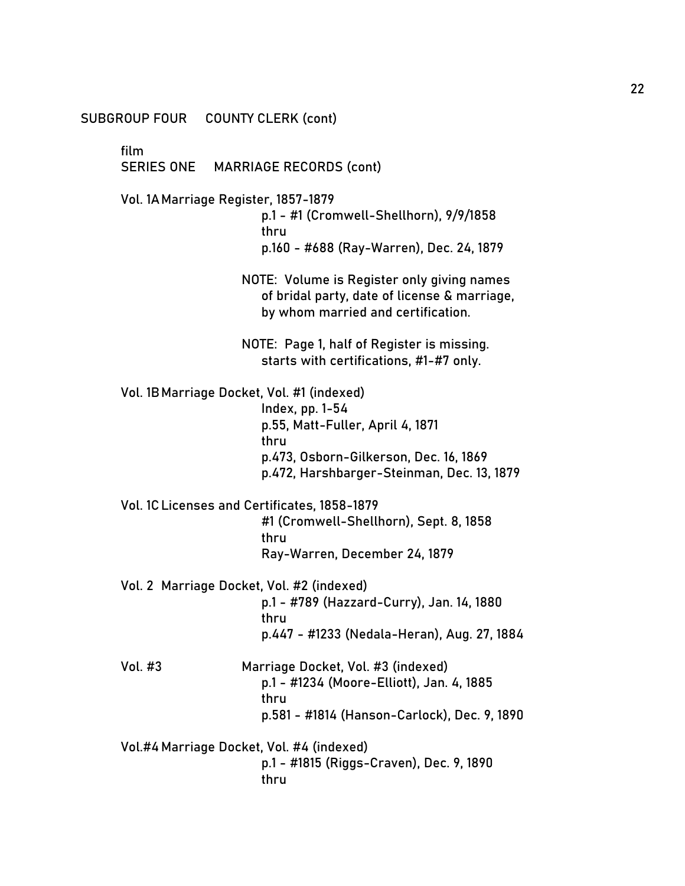SUBGROUP FOUR COUNTY CLERK (cont)

film

SERIES ONE MARRIAGE RECORDS (cont)

Vol. 1AMarriage Register, 1857-1879

p.1 - #1 (Cromwell-Shellhorn), 9/9/1858 thru p.160 - #688 (Ray-Warren), Dec. 24, 1879

NOTE: Volume is Register only giving names of bridal party, date of license & marriage, by whom married and certification.

NOTE: Page 1, half of Register is missing. starts with certifications, #1-#7 only.

Vol. 1BMarriage Docket, Vol. #1 (indexed)

Index, pp. 1-54 p.55, Matt-Fuller, April 4, 1871 thru p.473, Osborn-Gilkerson, Dec. 16, 1869 p.472, Harshbarger-Steinman, Dec. 13, 1879

Vol. 1CLicenses and Certificates, 1858-1879 #1 (Cromwell-Shellhorn), Sept. 8, 1858 thru

Ray-Warren, December 24, 1879

- Vol. 2 Marriage Docket, Vol. #2 (indexed) p.1 - #789 (Hazzard-Curry), Jan. 14, 1880 thru p.447 - #1233 (Nedala-Heran), Aug. 27, 1884
- Vol. #3 Marriage Docket, Vol. #3 (indexed) p.1 - #1234 (Moore-Elliott), Jan. 4, 1885 thru p.581 - #1814 (Hanson-Carlock), Dec. 9, 1890

Vol.#4 Marriage Docket, Vol. #4 (indexed) p.1 - #1815 (Riggs-Craven), Dec. 9, 1890 thru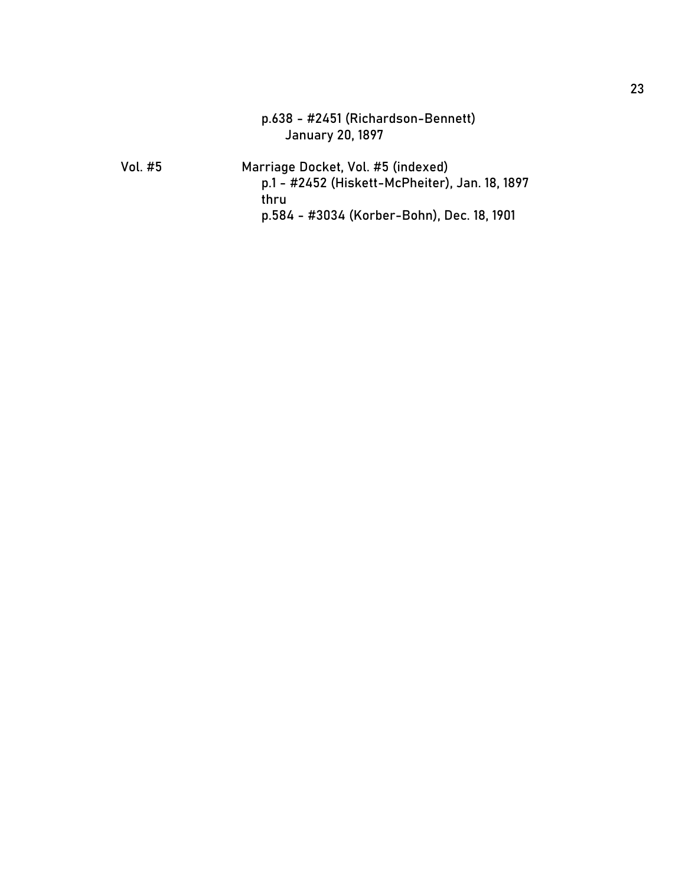|         | p.638 - #2451 (Richardson-Bennett)<br><b>January 20, 1897</b>                                                                              |
|---------|--------------------------------------------------------------------------------------------------------------------------------------------|
| Vol. #5 | Marriage Docket, Vol. #5 (indexed)<br>p.1 - #2452 (Hiskett-McPheiter), Jan. 18, 1897<br>thru<br>p.584 - #3034 (Korber-Bohn), Dec. 18, 1901 |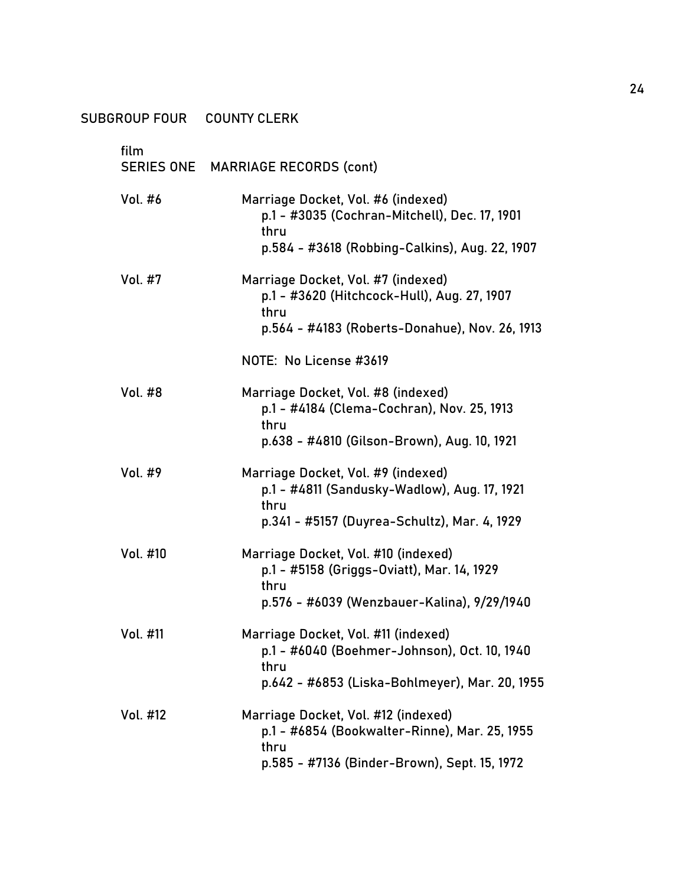| SUBGROUP FOUR COUNTY CLERK |                                                                                                                                               |
|----------------------------|-----------------------------------------------------------------------------------------------------------------------------------------------|
| film                       | SERIES ONE MARRIAGE RECORDS (cont)                                                                                                            |
| Vol. #6                    | Marriage Docket, Vol. #6 (indexed)<br>p.1 - #3035 (Cochran-Mitchell), Dec. 17, 1901<br>thru<br>p.584 - #3618 (Robbing-Calkins), Aug. 22, 1907 |
| <b>Vol. #7</b>             | Marriage Docket, Vol. #7 (indexed)<br>p.1 - #3620 (Hitchcock-Hull), Aug. 27, 1907<br>thru<br>p.564 - #4183 (Roberts-Donahue), Nov. 26, 1913   |
|                            | NOTE: No License #3619                                                                                                                        |
| <b>Vol. #8</b>             | Marriage Docket, Vol. #8 (indexed)<br>p.1 - #4184 (Clema-Cochran), Nov. 25, 1913<br>thru<br>p.638 - #4810 (Gilson-Brown), Aug. 10, 1921       |
| Vol. #9                    | Marriage Docket, Vol. #9 (indexed)<br>p.1 - #4811 (Sandusky-Wadlow), Aug. 17, 1921<br>thru<br>p.341 - #5157 (Duyrea-Schultz), Mar. 4, 1929    |
| Vol. #10                   | Marriage Docket, Vol. #10 (indexed)<br>p.1 - #5158 (Griggs-Oviatt), Mar. 14, 1929<br>thru<br>p.576 - #6039 (Wenzbauer-Kalina), 9/29/1940      |
| Vol. #11                   | Marriage Docket, Vol. #11 (indexed)<br>p.1 - #6040 (Boehmer-Johnson), Oct. 10, 1940<br>thru<br>p.642 - #6853 (Liska-Bohlmeyer), Mar. 20, 1955 |
| Vol. #12                   | Marriage Docket, Vol. #12 (indexed)<br>p.1 - #6854 (Bookwalter-Rinne), Mar. 25, 1955<br>thru<br>p.585 - #7136 (Binder-Brown), Sept. 15, 1972  |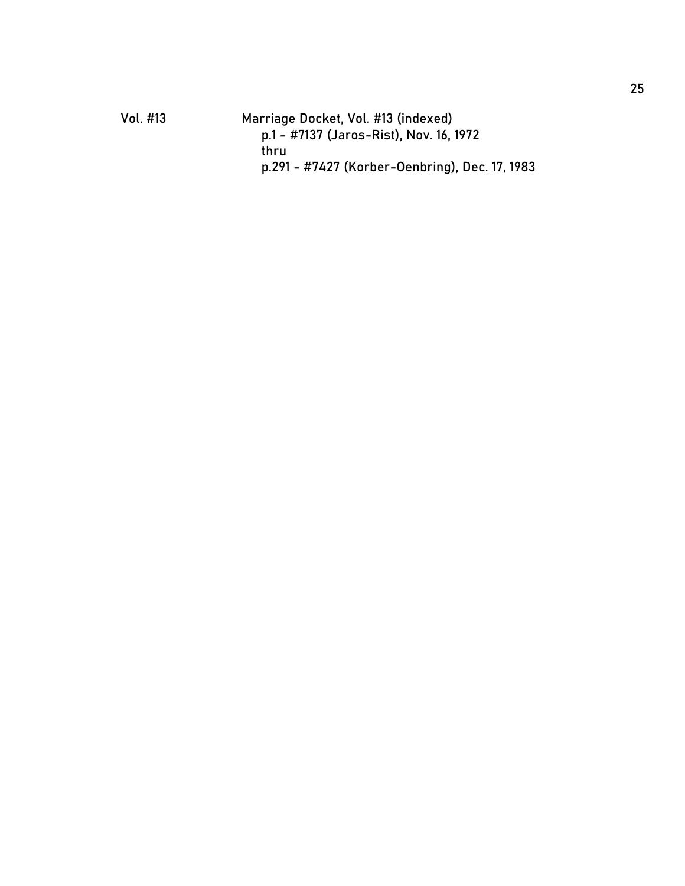| p.1 - #7137 (Jaros-Rist), Nov. 16, 1972        |
|------------------------------------------------|
|                                                |
| p.291 - #7427 (Korber-Oenbring), Dec. 17, 1983 |
|                                                |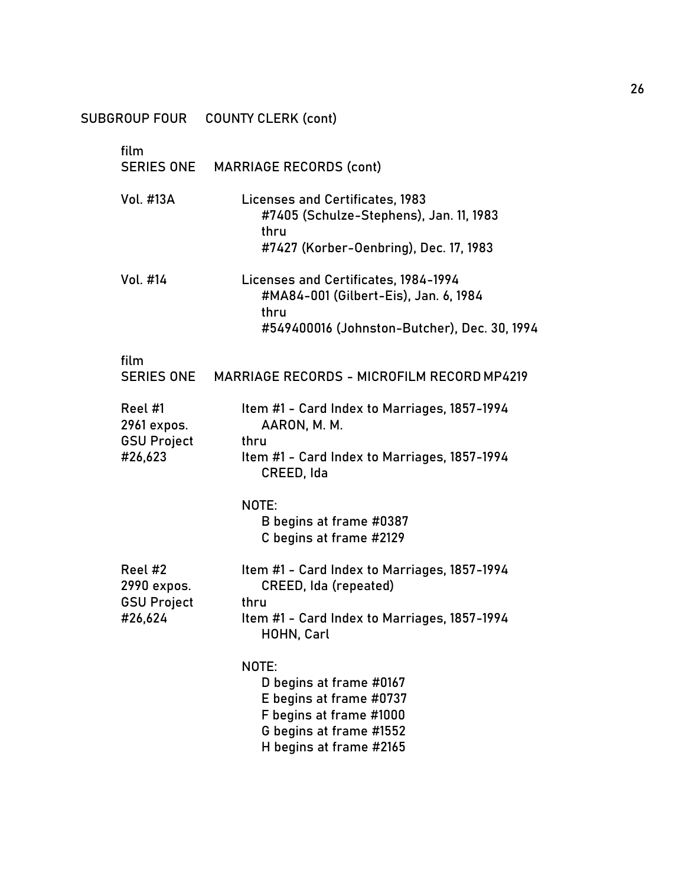|                                                         | SUBGROUP FOUR COUNTY CLERK (cont)                                                                                                            |
|---------------------------------------------------------|----------------------------------------------------------------------------------------------------------------------------------------------|
| film<br><b>SERIES ONE</b>                               | <b>MARRIAGE RECORDS (cont)</b>                                                                                                               |
| Vol. #13A                                               | <b>Licenses and Certificates, 1983</b><br>#7405 (Schulze-Stephens), Jan. 11, 1983<br>thru<br>#7427 (Korber-Oenbring), Dec. 17, 1983          |
| Vol. #14                                                | Licenses and Certificates, 1984-1994<br>#MA84-001 (Gilbert-Eis), Jan. 6, 1984<br>thru<br>#549400016 (Johnston-Butcher), Dec. 30, 1994        |
| film<br>SERIES ONE                                      | MARRIAGE RECORDS - MICROFILM RECORD MP4219                                                                                                   |
| Reel #1<br>2961 expos.<br><b>GSU Project</b><br>#26,623 | Item #1 - Card Index to Marriages, 1857-1994<br>AARON, M. M.<br>thru<br>Item #1 - Card Index to Marriages, 1857-1994<br>CREED, Ida           |
|                                                         | NOTE:<br>B begins at frame #0387<br>C begins at frame #2129                                                                                  |
| Reel #2<br>2990 expos.<br><b>GSU Project</b><br>#26,624 | Item #1 - Card Index to Marriages, 1857-1994<br>CREED, Ida (repeated)<br>thru<br>Item #1 - Card Index to Marriages, 1857-1994<br>HOHN, Carl  |
|                                                         | NOTE:<br>D begins at frame #0167<br>E begins at frame #0737<br>F begins at frame #1000<br>G begins at frame #1552<br>H begins at frame #2165 |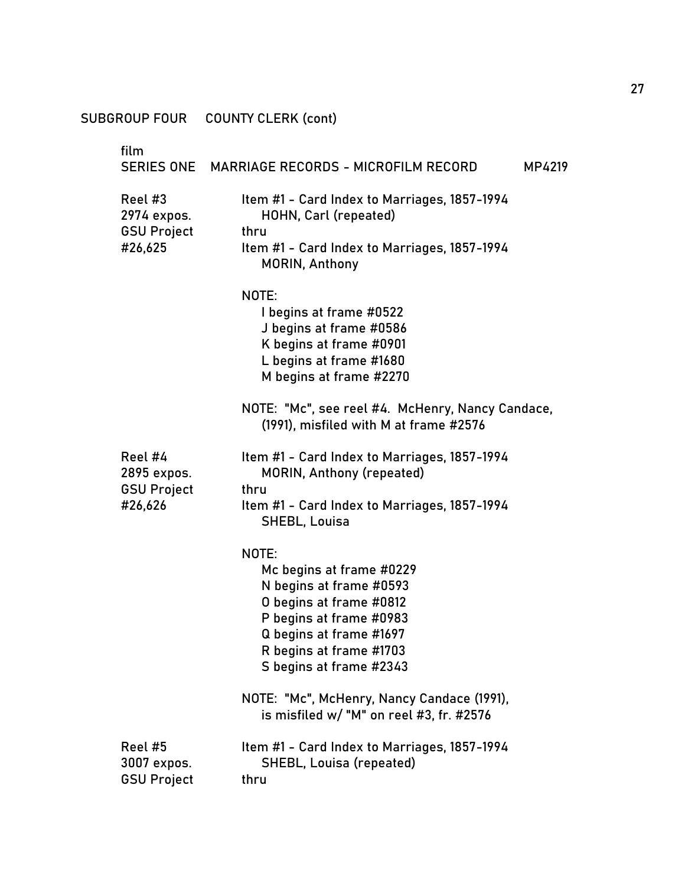## SUBGROUP FOUR COUNTY CLERK (cont)

| film                                                    | SERIES ONE MARRIAGE RECORDS - MICROFILM RECORD<br>MP4219                                                                                                                                            |
|---------------------------------------------------------|-----------------------------------------------------------------------------------------------------------------------------------------------------------------------------------------------------|
| Reel #3<br>2974 expos.<br><b>GSU Project</b>            | Item #1 - Card Index to Marriages, 1857-1994<br>HOHN, Carl (repeated)<br>thru                                                                                                                       |
| #26,625                                                 | Item #1 - Card Index to Marriages, 1857-1994<br><b>MORIN, Anthony</b>                                                                                                                               |
|                                                         | NOTE:<br>I begins at frame #0522<br>J begins at frame #0586<br>K begins at frame #0901<br>L begins at frame #1680<br>M begins at frame #2270                                                        |
|                                                         | NOTE: "Mc", see reel #4. McHenry, Nancy Candace,<br>(1991), misfiled with M at frame #2576                                                                                                          |
| Reel #4<br>2895 expos.<br><b>GSU Project</b><br>#26,626 | Item #1 - Card Index to Marriages, 1857-1994<br><b>MORIN, Anthony (repeated)</b><br>thru<br>Item #1 - Card Index to Marriages, 1857-1994<br>SHEBL, Louisa                                           |
|                                                         | NOTE:<br>Mc begins at frame #0229<br>N begins at frame #0593<br>O begins at frame #0812<br>P begins at frame #0983<br>Q begins at frame #1697<br>R begins at frame #1703<br>S begins at frame #2343 |
|                                                         | NOTE: "Mc", McHenry, Nancy Candace (1991),<br>is misfiled w/ "M" on reel #3, fr. #2576                                                                                                              |
| Reel #5<br>3007 expos.<br><b>GSU Project</b>            | Item #1 - Card Index to Marriages, 1857-1994<br><b>SHEBL, Louisa (repeated)</b><br>thru                                                                                                             |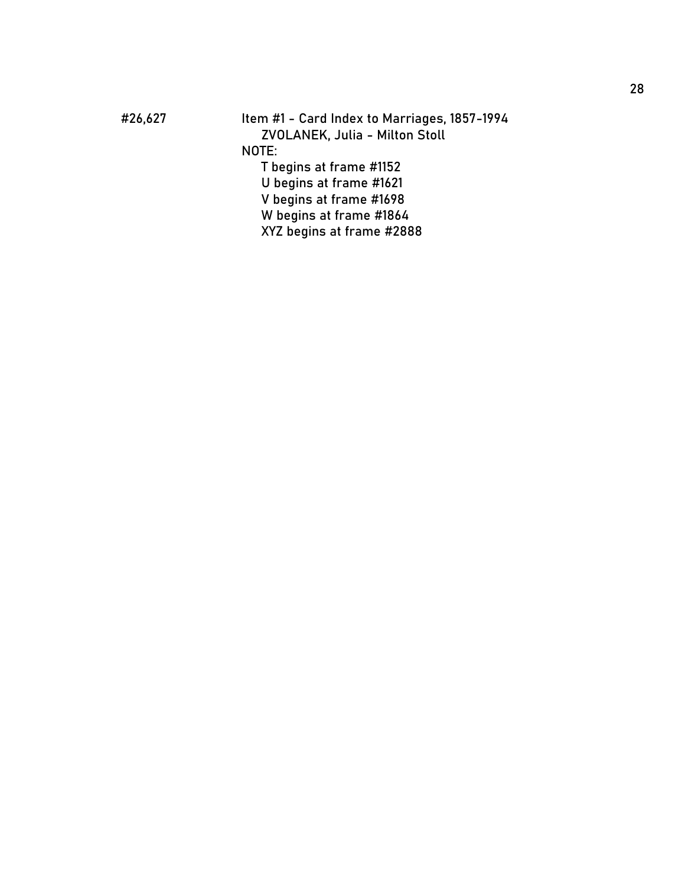#26,627 Item #1 - Card Index to Marriages, 1857 -1994 ZVOLANEK, Julia - Milton Stoll NOTE: T begins at frame #1152 U begins at frame #1621 V begins at frame #1698 W begins at frame #1864 XYZ begins at frame #2888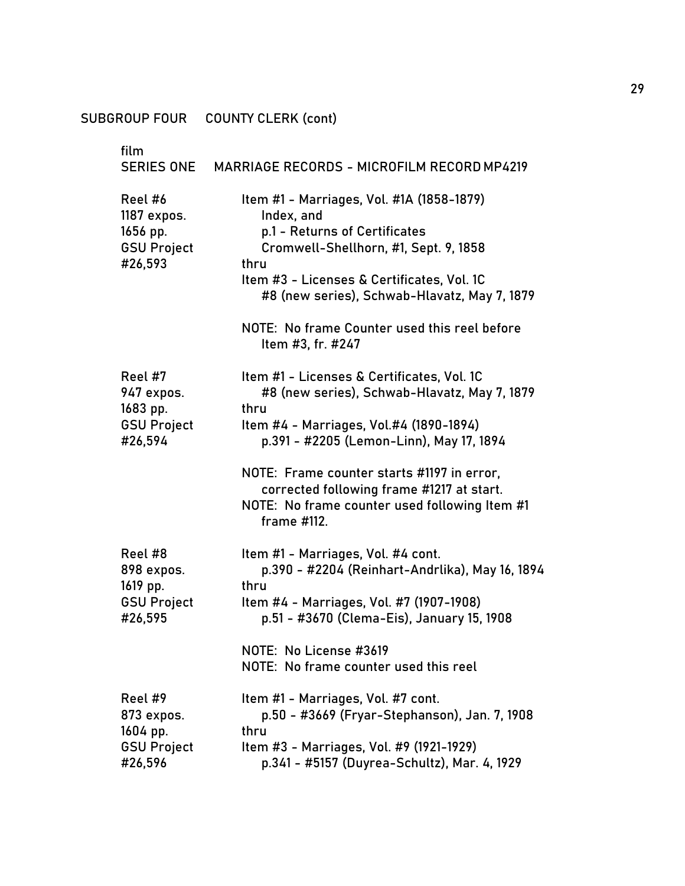# SUBGROUP FOUR COUNTY CLERK (cont)

| film                                                                |                                                                                                                                                                                                                                                                                                                                                      |
|---------------------------------------------------------------------|------------------------------------------------------------------------------------------------------------------------------------------------------------------------------------------------------------------------------------------------------------------------------------------------------------------------------------------------------|
| <b>SERIES ONE</b>                                                   | <b>MARRIAGE RECORDS - MICROFILM RECORD MP4219</b>                                                                                                                                                                                                                                                                                                    |
| Reel #6<br>1187 expos.<br>1656 pp.<br><b>GSU Project</b><br>#26,593 | Item #1 - Marriages, Vol. #1A (1858-1879)<br>Index, and<br>p.1 - Returns of Certificates<br>Cromwell-Shellhorn, #1, Sept. 9, 1858<br>thru<br>Item #3 - Licenses & Certificates, Vol. 1C<br>#8 (new series), Schwab-Hlavatz, May 7, 1879<br>NOTE: No frame Counter used this reel before<br>Item #3, fr. #247                                         |
| Reel #7<br>947 expos.<br>1683 pp.<br><b>GSU Project</b><br>#26,594  | Item #1 - Licenses & Certificates, Vol. 1C<br>#8 (new series), Schwab-Hlavatz, May 7, 1879<br>thru<br>Item #4 - Marriages, Vol.#4 (1890-1894)<br>p.391 - #2205 (Lemon-Linn), May 17, 1894<br>NOTE: Frame counter starts #1197 in error,<br>corrected following frame #1217 at start.<br>NOTE: No frame counter used following Item #1<br>frame #112. |
| Reel #8<br>898 expos.<br>1619 pp.<br><b>GSU Project</b><br>#26,595  | Item #1 - Marriages, Vol. #4 cont.<br>p.390 - #2204 (Reinhart-Andrlika), May 16, 1894<br>thru<br>Item #4 - Marriages, Vol. #7 (1907-1908)<br>p.51 - #3670 (Clema-Eis), January 15, 1908<br>NOTE: No License #3619<br>NOTE: No frame counter used this reel                                                                                           |
| Reel #9<br>873 expos.<br>1604 pp.<br><b>GSU Project</b><br>#26,596  | Item #1 - Marriages, Vol. #7 cont.<br>p.50 - #3669 (Fryar-Stephanson), Jan. 7, 1908<br>thru<br>Item #3 - Marriages, Vol. #9 (1921-1929)<br>p.341 - #5157 (Duyrea-Schultz), Mar. 4, 1929                                                                                                                                                              |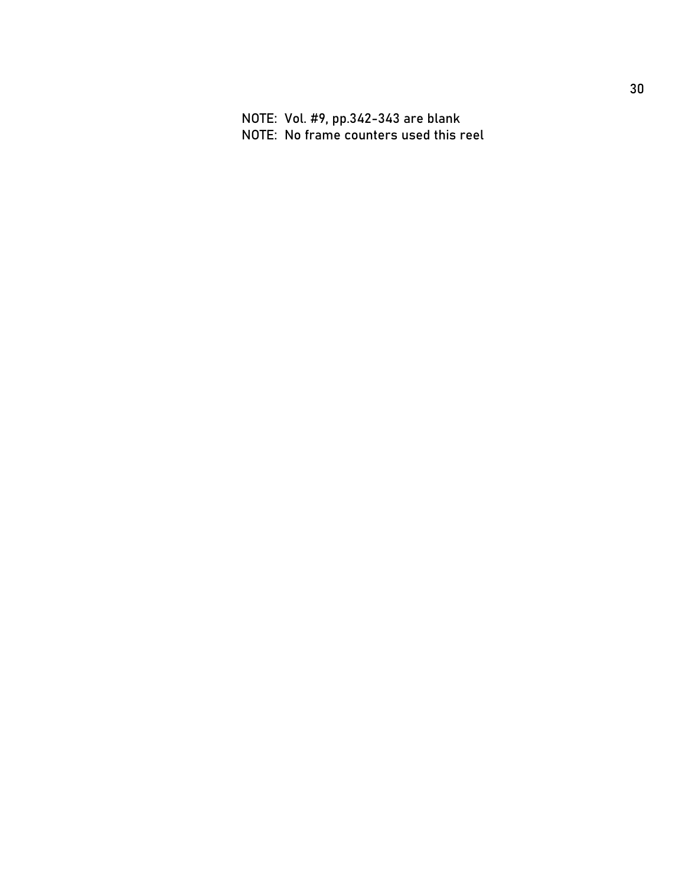NOTE: Vol. #9, pp.342-343 are blank NOTE: No frame counters used this reel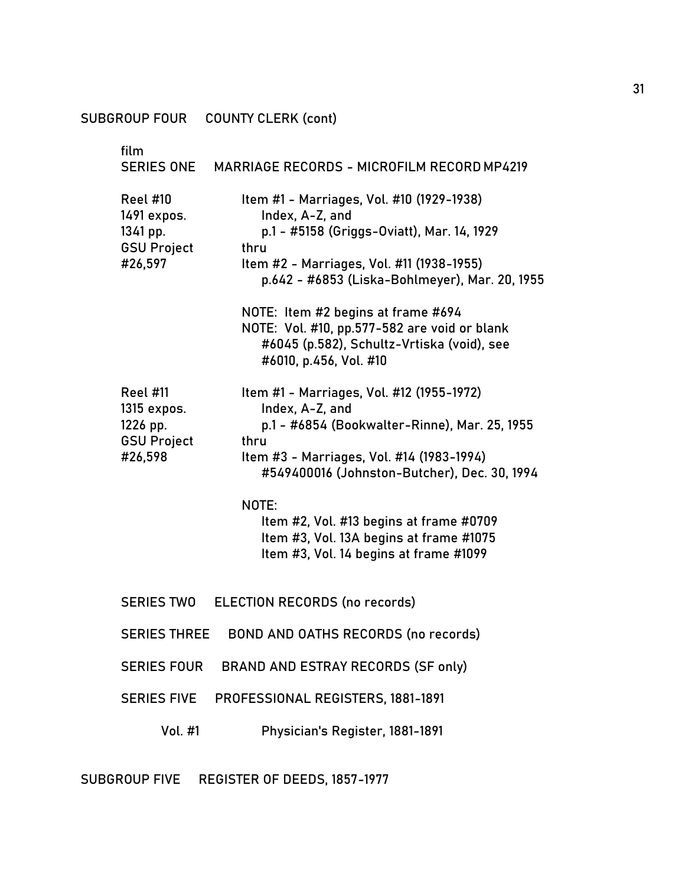SUBGROUP FOUR COUNTY CLERK (cont)

film SERIES ONE MARRIAGE RECORDS - MICROFILM RECORDMP4219 Reel #10 Item #1 - Marriages, Vol. #10 (1929-1938) 1491 expos. Index, A-Z, and 1341 pp. p.1 - #5158 (Griggs-Oviatt), Mar. 14, 1929 GSU Project thru #26,597 Item #2 - Marriages, Vol. #11 (1938-1955) p.642 - #6853 (Liska-Bohlmeyer), Mar. 20, 1955 NOTE: Item #2 begins at frame #694 NOTE: Vol. #10, pp.577-582 are void or blank #6045 (p.582), Schultz-Vrtiska (void), see #6010, p.456, Vol. #10 Reel #11 Item #1 - Marriages, Vol. #12 (1955-1972) 1315 expos. Index, A-Z, and 1226 pp. p.1 - #6854 (Bookwalter-Rinne), Mar. 25, 1955 GSU Project thru #26,598 Item #3 - Marriages, Vol. #14 (1983-1994) #549400016 (Johnston-Butcher), Dec. 30, 1994 NOTE: Item #2, Vol. #13 begins at frame #0709 Item #3, Vol. 13A begins at frame #1075 Item #3, Vol. 14 begins at frame #1099 SERIES TWO ELECTION RECORDS (no records) SERIES THREE BOND AND OATHS RECORDS (no records) SERIES FOUR BRAND AND ESTRAY RECORDS (SF only) SERIES FIVE PROFESSIONAL REGISTERS, 1881-1891 Vol. #1 Physician's Register, 1881-1891

SUBGROUP FIVE REGISTER OF DEEDS, 1857-1977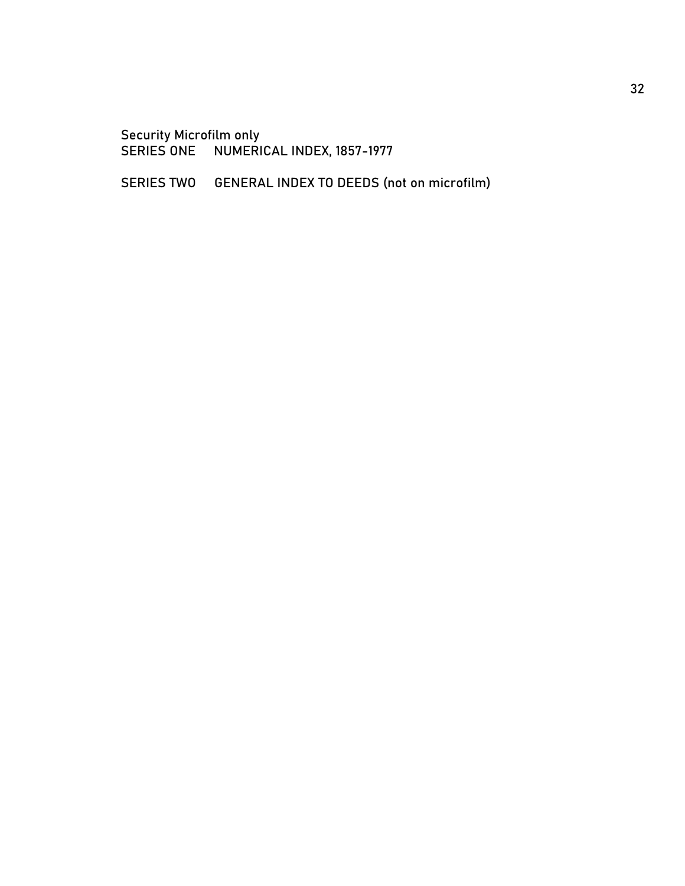Security Microfilm only SERIES ONE NUMERICAL INDEX, 1857-1977

SERIES TWO GENERAL INDEX TO DEEDS (not on microfilm)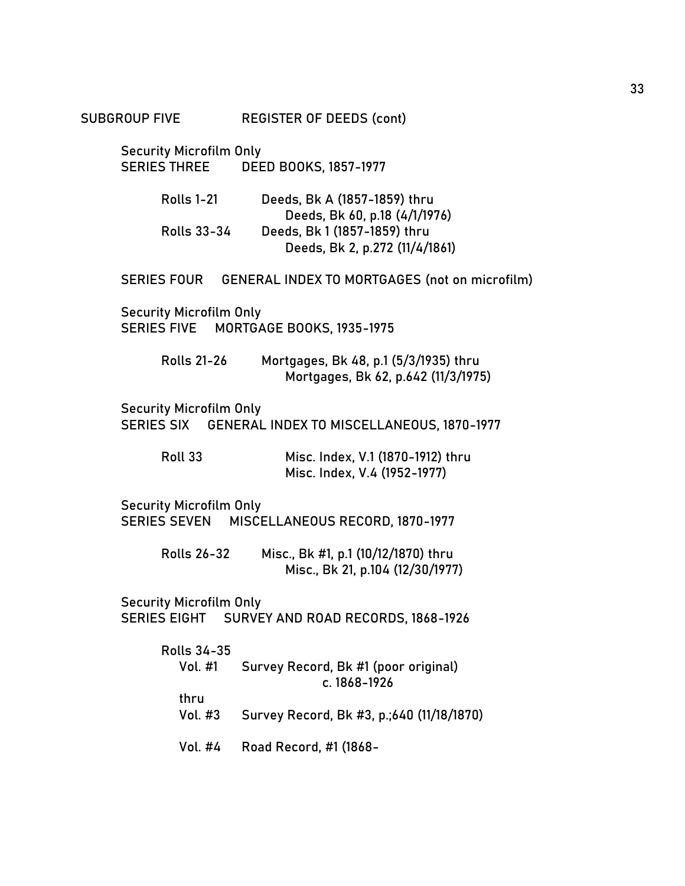SUBGROUP FIVE REGISTER OF DEEDS (cont)

Security Microfilm Only SERIES THREE DEED BOOKS, 1857-1977

| <b>Rolls 1-21</b>  | Deeds, Bk A (1857-1859) thru   |
|--------------------|--------------------------------|
|                    | Deeds, Bk 60, p.18 (4/1/1976)  |
| <b>Rolls 33-34</b> | Deeds, Bk 1 (1857-1859) thru   |
|                    | Deeds, Bk 2, p.272 (11/4/1861) |

SERIES FOUR GENERAL INDEX TO MORTGAGES (not on microfilm)

Security Microfilm Only SERIES FIVE MORTGAGE BOOKS, 1935-1975

> Rolls 21-26 Mortgages, Bk 48, p.1 (5/3/1935) thru Mortgages, Bk 62, p.642 (11/3/1975)

Security Microfilm Only SERIES SIX GENERAL INDEX TO MISCELLANEOUS, 1870-1977

| Roll 33 | Misc. Index, V.1 (1870-1912) thru |
|---------|-----------------------------------|
|         | Misc. Index, V.4 (1952-1977)      |

Security Microfilm Only SERIES SEVEN MISCELLANEOUS RECORD, 1870-1977

> Rolls 26-32 Misc., Bk #1, p.1 (10/12/1870) thru Misc., Bk 21, p.104 (12/30/1977)

Security Microfilm Only SERIES EIGHT SURVEY AND ROAD RECORDS, 1868-1926

| Rolls 34-35 |                                           |
|-------------|-------------------------------------------|
| Vol. #1     | Survey Record, Bk #1 (poor original)      |
|             | c. $1868 - 1926$                          |
| thru        |                                           |
| Vol. #3     | Survey Record, Bk #3, p.;640 (11/18/1870) |
| Vol. #4     | Road Record, #1 (1868-                    |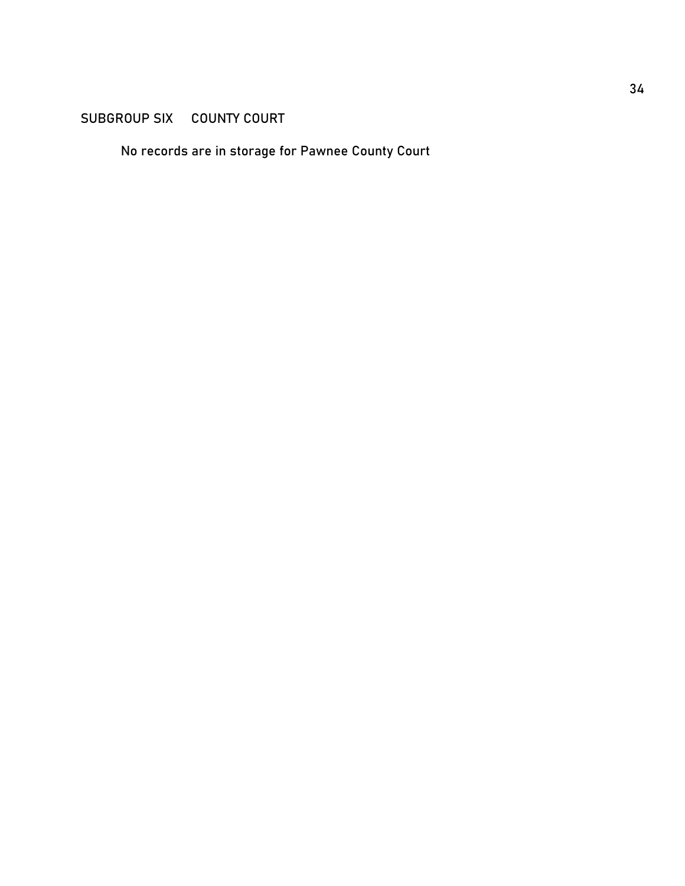## SUBGROUP SIX COUNTY COURT

No records are in storage for Pawnee County Court